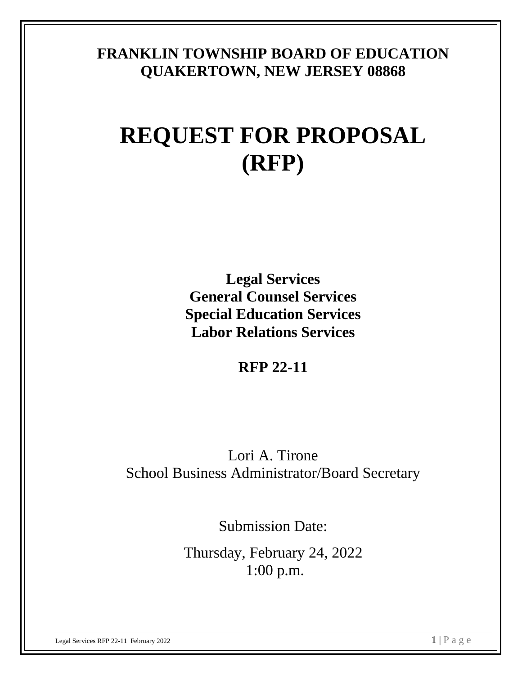### **FRANKLIN TOWNSHIP BOARD OF EDUCATION QUAKERTOWN, NEW JERSEY 08868**

# **REQUEST FOR PROPOSAL (RFP)**

**Legal Services General Counsel Services Special Education Services Labor Relations Services**

**RFP 22-11**

Lori A. Tirone School Business Administrator/Board Secretary

Submission Date:

Thursday, February 24, 2022 1:00 p.m.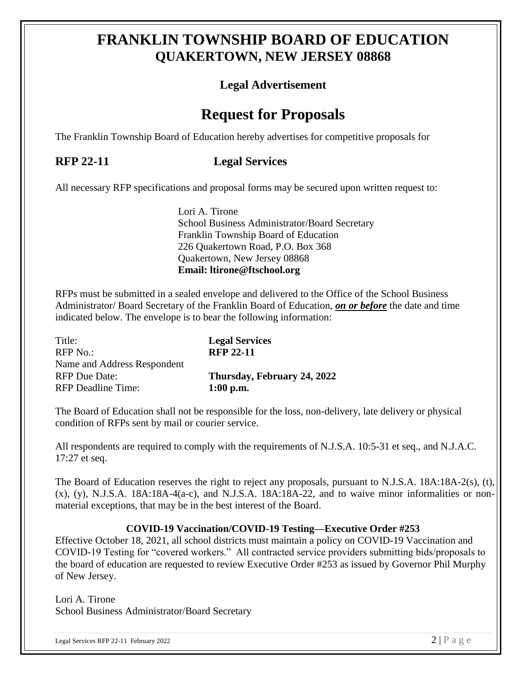### **FRANKLIN TOWNSHIP BOARD OF EDUCATION QUAKERTOWN, NEW JERSEY 08868**

### **Legal Advertisement**

### **Request for Proposals**

The Franklin Township Board of Education hereby advertises for competitive proposals for

### **RFP 22-11 Legal Services**

All necessary RFP specifications and proposal forms may be secured upon written request to:

Lori A. Tirone School Business Administrator/Board Secretary Franklin Township Board of Education 226 Quakertown Road, P.O. Box 368 Quakertown, New Jersey 08868 **Email: ltirone@ftschool.org**

RFPs must be submitted in a sealed envelope and delivered to the Office of the School Business Administrator/ Board Secretary of the Franklin Board of Education, *on or before* the date and time indicated below. The envelope is to bear the following information:

| <b>Legal Services</b><br><b>RFP 22-11</b> |
|-------------------------------------------|
|                                           |
| Thursday, February 24, 2022               |
| $1:00$ p.m.                               |
|                                           |

The Board of Education shall not be responsible for the loss, non-delivery, late delivery or physical condition of RFPs sent by mail or courier service.

All respondents are required to comply with the requirements of N.J.S.A. 10:5-31 et seq., and N.J.A.C. 17:27 et seq.

The Board of Education reserves the right to reject any proposals, pursuant to N.J.S.A. 18A:18A-2(s), (t),  $(x)$ ,  $(y)$ , N.J.S.A. 18A:18A-4(a-c), and N.J.S.A. 18A:18A-22, and to waive minor informalities or nonmaterial exceptions, that may be in the best interest of the Board.

#### **COVID-19 Vaccination/COVID-19 Testing—Executive Order #253**

Effective October 18, 2021, all school districts must maintain a policy on COVID-19 Vaccination and COVID-19 Testing for "covered workers." All contracted service providers submitting bids/proposals to the board of education are requested to review Executive Order #253 as issued by Governor Phil Murphy of New Jersey.

Lori A. Tirone School Business Administrator/Board Secretary

Legal Services RFP 22-11 February 2022 2 2 | P a g e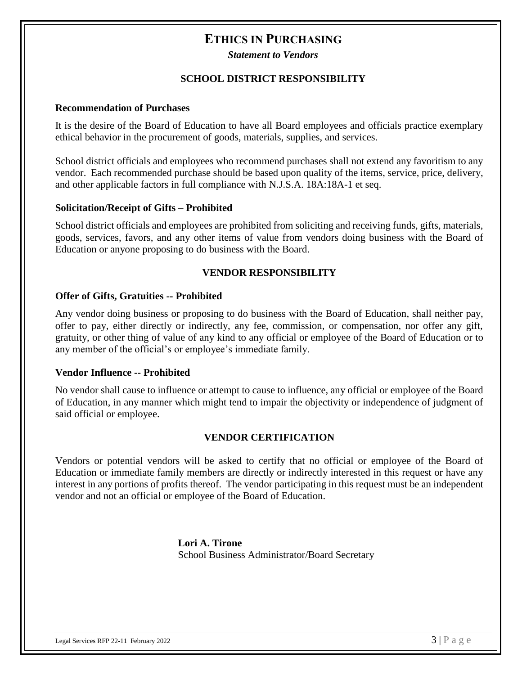#### **ETHICS IN PURCHASING**

*Statement to Vendors*

#### **SCHOOL DISTRICT RESPONSIBILITY**

#### **Recommendation of Purchases**

It is the desire of the Board of Education to have all Board employees and officials practice exemplary ethical behavior in the procurement of goods, materials, supplies, and services.

School district officials and employees who recommend purchases shall not extend any favoritism to any vendor. Each recommended purchase should be based upon quality of the items, service, price, delivery, and other applicable factors in full compliance with N.J.S.A. 18A:18A-1 et seq.

#### **Solicitation/Receipt of Gifts – Prohibited**

School district officials and employees are prohibited from soliciting and receiving funds, gifts, materials, goods, services, favors, and any other items of value from vendors doing business with the Board of Education or anyone proposing to do business with the Board.

#### **VENDOR RESPONSIBILITY**

#### **Offer of Gifts, Gratuities -- Prohibited**

Any vendor doing business or proposing to do business with the Board of Education, shall neither pay, offer to pay, either directly or indirectly, any fee, commission, or compensation, nor offer any gift, gratuity, or other thing of value of any kind to any official or employee of the Board of Education or to any member of the official's or employee's immediate family.

#### **Vendor Influence -- Prohibited**

No vendor shall cause to influence or attempt to cause to influence, any official or employee of the Board of Education, in any manner which might tend to impair the objectivity or independence of judgment of said official or employee.

#### **VENDOR CERTIFICATION**

Vendors or potential vendors will be asked to certify that no official or employee of the Board of Education or immediate family members are directly or indirectly interested in this request or have any interest in any portions of profits thereof. The vendor participating in this request must be an independent vendor and not an official or employee of the Board of Education.

> **Lori A. Tirone** School Business Administrator/Board Secretary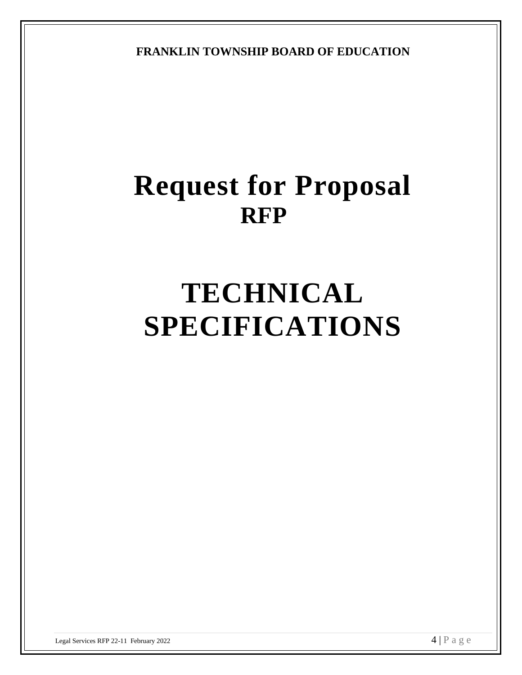**FRANKLIN TOWNSHIP BOARD OF EDUCATION**

# **Request for Proposal RFP**

# **TECHNICAL SPECIFICATIONS**

Legal Services RFP 22-11 February 2022  $\overline{4}$  | P a g e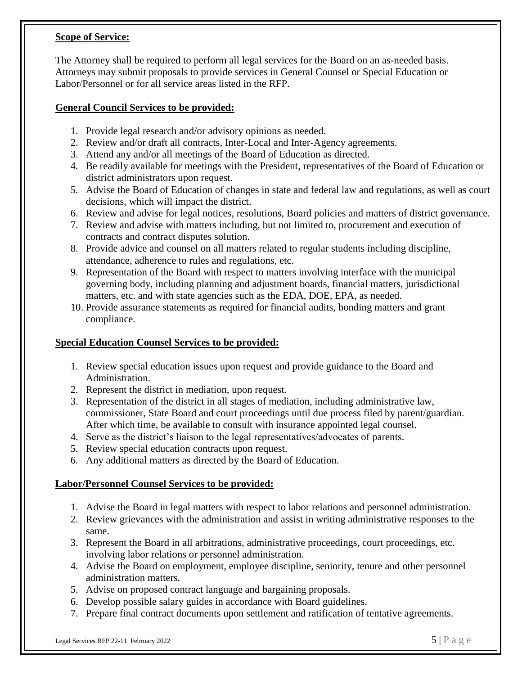#### **Scope of Service:**

The Attorney shall be required to perform all legal services for the Board on an as-needed basis. Attorneys may submit proposals to provide services in General Counsel or Special Education or Labor/Personnel or for all service areas listed in the RFP.

#### **General Council Services to be provided:**

- 1. Provide legal research and/or advisory opinions as needed.
- 2. Review and/or draft all contracts, Inter-Local and Inter-Agency agreements.
- 3. Attend any and/or all meetings of the Board of Education as directed.
- 4. Be readily available for meetings with the President, representatives of the Board of Education or district administrators upon request.
- 5. Advise the Board of Education of changes in state and federal law and regulations, as well as court decisions, which will impact the district.
- 6. Review and advise for legal notices, resolutions, Board policies and matters of district governance.
- 7. Review and advise with matters including, but not limited to, procurement and execution of contracts and contract disputes solution.
- 8. Provide advice and counsel on all matters related to regular students including discipline, attendance, adherence to rules and regulations, etc.
- 9. Representation of the Board with respect to matters involving interface with the municipal governing body, including planning and adjustment boards, financial matters, jurisdictional matters, etc. and with state agencies such as the EDA, DOE, EPA, as needed.
- 10. Provide assurance statements as required for financial audits, bonding matters and grant compliance.

#### **Special Education Counsel Services to be provided:**

- 1. Review special education issues upon request and provide guidance to the Board and Administration.
- 2. Represent the district in mediation, upon request.
- 3. Representation of the district in all stages of mediation, including administrative law, commissioner, State Board and court proceedings until due process filed by parent/guardian. After which time, be available to consult with insurance appointed legal counsel.
- 4. Serve as the district's liaison to the legal representatives/advocates of parents.
- 5. Review special education contracts upon request.
- 6. Any additional matters as directed by the Board of Education.

#### **Labor/Personnel Counsel Services to be provided:**

- 1. Advise the Board in legal matters with respect to labor relations and personnel administration.
- 2. Review grievances with the administration and assist in writing administrative responses to the same.
- 3. Represent the Board in all arbitrations, administrative proceedings, court proceedings, etc. involving labor relations or personnel administration.
- 4. Advise the Board on employment, employee discipline, seniority, tenure and other personnel administration matters.
- 5. Advise on proposed contract language and bargaining proposals.
- 6. Develop possible salary guides in accordance with Board guidelines.
- 7. Prepare final contract documents upon settlement and ratification of tentative agreements.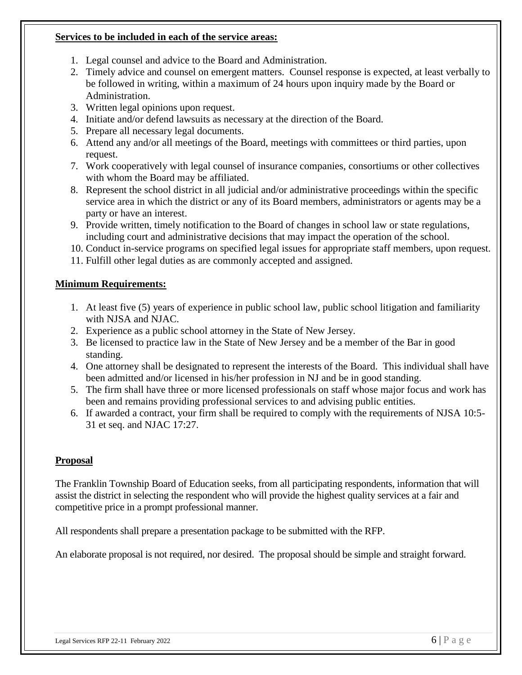#### **Services to be included in each of the service areas:**

- 1. Legal counsel and advice to the Board and Administration.
- 2. Timely advice and counsel on emergent matters. Counsel response is expected, at least verbally to be followed in writing, within a maximum of 24 hours upon inquiry made by the Board or Administration.
- 3. Written legal opinions upon request.
- 4. Initiate and/or defend lawsuits as necessary at the direction of the Board.
- 5. Prepare all necessary legal documents.
- 6. Attend any and/or all meetings of the Board, meetings with committees or third parties, upon request.
- 7. Work cooperatively with legal counsel of insurance companies, consortiums or other collectives with whom the Board may be affiliated.
- 8. Represent the school district in all judicial and/or administrative proceedings within the specific service area in which the district or any of its Board members, administrators or agents may be a party or have an interest.
- 9. Provide written, timely notification to the Board of changes in school law or state regulations, including court and administrative decisions that may impact the operation of the school.
- 10. Conduct in-service programs on specified legal issues for appropriate staff members, upon request.
- 11. Fulfill other legal duties as are commonly accepted and assigned.

#### **Minimum Requirements:**

- 1. At least five (5) years of experience in public school law, public school litigation and familiarity with NJSA and NJAC.
- 2. Experience as a public school attorney in the State of New Jersey.
- 3. Be licensed to practice law in the State of New Jersey and be a member of the Bar in good standing.
- 4. One attorney shall be designated to represent the interests of the Board. This individual shall have been admitted and/or licensed in his/her profession in NJ and be in good standing.
- 5. The firm shall have three or more licensed professionals on staff whose major focus and work has been and remains providing professional services to and advising public entities.
- 6. If awarded a contract, your firm shall be required to comply with the requirements of NJSA 10:5- 31 et seq. and NJAC 17:27.

#### **Proposal**

The Franklin Township Board of Education seeks, from all participating respondents, information that will assist the district in selecting the respondent who will provide the highest quality services at a fair and competitive price in a prompt professional manner.

All respondents shall prepare a presentation package to be submitted with the RFP.

An elaborate proposal is not required, nor desired. The proposal should be simple and straight forward.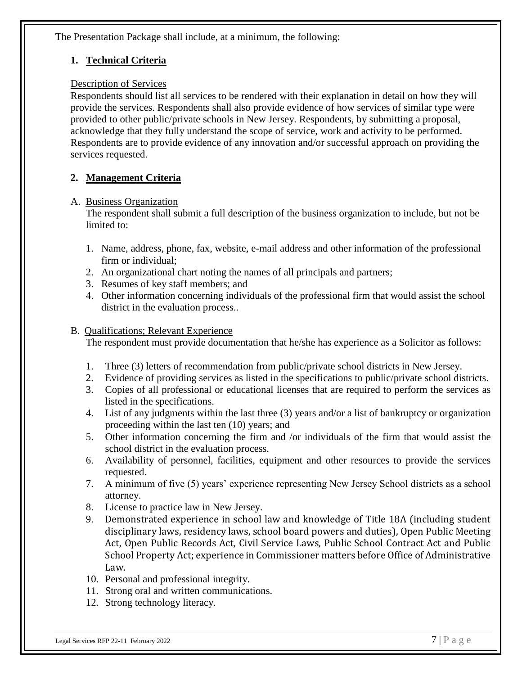The Presentation Package shall include, at a minimum, the following:

#### **1. Technical Criteria**

#### Description of Services

Respondents should list all services to be rendered with their explanation in detail on how they will provide the services. Respondents shall also provide evidence of how services of similar type were provided to other public/private schools in New Jersey. Respondents, by submitting a proposal, acknowledge that they fully understand the scope of service, work and activity to be performed. Respondents are to provide evidence of any innovation and/or successful approach on providing the services requested.

#### **2. Management Criteria**

#### A. Business Organization

The respondent shall submit a full description of the business organization to include, but not be limited to:

- 1. Name, address, phone, fax, website, e-mail address and other information of the professional firm or individual;
- 2. An organizational chart noting the names of all principals and partners;
- 3. Resumes of key staff members; and
- 4. Other information concerning individuals of the professional firm that would assist the school district in the evaluation process..

#### B. Qualifications; Relevant Experience

The respondent must provide documentation that he/she has experience as a Solicitor as follows:

- 1. Three (3) letters of recommendation from public/private school districts in New Jersey.
- 2. Evidence of providing services as listed in the specifications to public/private school districts.
- 3. Copies of all professional or educational licenses that are required to perform the services as listed in the specifications.
- 4. List of any judgments within the last three (3) years and/or a list of bankruptcy or organization proceeding within the last ten (10) years; and
- 5. Other information concerning the firm and /or individuals of the firm that would assist the school district in the evaluation process.
- 6. Availability of personnel, facilities, equipment and other resources to provide the services requested.
- 7. A minimum of five (5) years' experience representing New Jersey School districts as a school attorney.
- 8. License to practice law in New Jersey.
- 9. Demonstrated experience in school law and knowledge of Title 18A (including student disciplinary laws, residency laws, school board powers and duties), Open Public Meeting Act, Open Public Records Act, Civil Service Laws, Public School Contract Act and Public School Property Act; experience in Commissioner matters before Office of Administrative Law.
- 10. Personal and professional integrity.
- 11. Strong oral and written communications.
- 12. Strong technology literacy.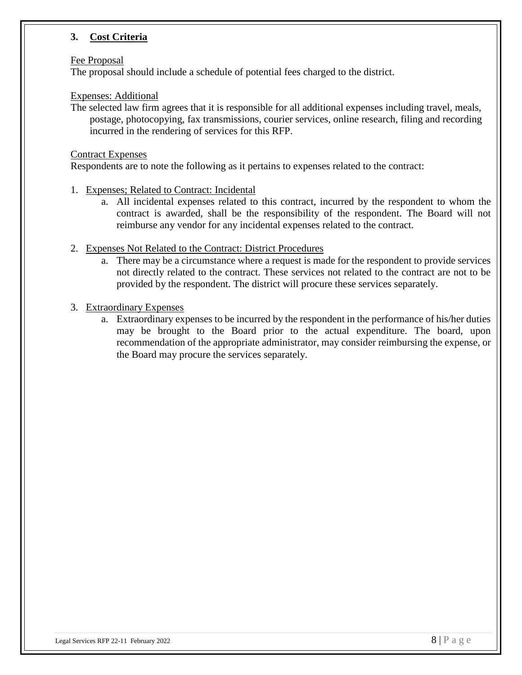#### **3. Cost Criteria**

#### Fee Proposal

The proposal should include a schedule of potential fees charged to the district.

#### Expenses: Additional

The selected law firm agrees that it is responsible for all additional expenses including travel, meals, postage, photocopying, fax transmissions, courier services, online research, filing and recording incurred in the rendering of services for this RFP.

#### Contract Expenses

Respondents are to note the following as it pertains to expenses related to the contract:

- 1. Expenses; Related to Contract: Incidental
	- a. All incidental expenses related to this contract, incurred by the respondent to whom the contract is awarded, shall be the responsibility of the respondent. The Board will not reimburse any vendor for any incidental expenses related to the contract.
- 2. Expenses Not Related to the Contract: District Procedures
	- a. There may be a circumstance where a request is made for the respondent to provide services not directly related to the contract. These services not related to the contract are not to be provided by the respondent. The district will procure these services separately.
- 3. Extraordinary Expenses
	- a. Extraordinary expenses to be incurred by the respondent in the performance of his/her duties may be brought to the Board prior to the actual expenditure. The board, upon recommendation of the appropriate administrator, may consider reimbursing the expense, or the Board may procure the services separately.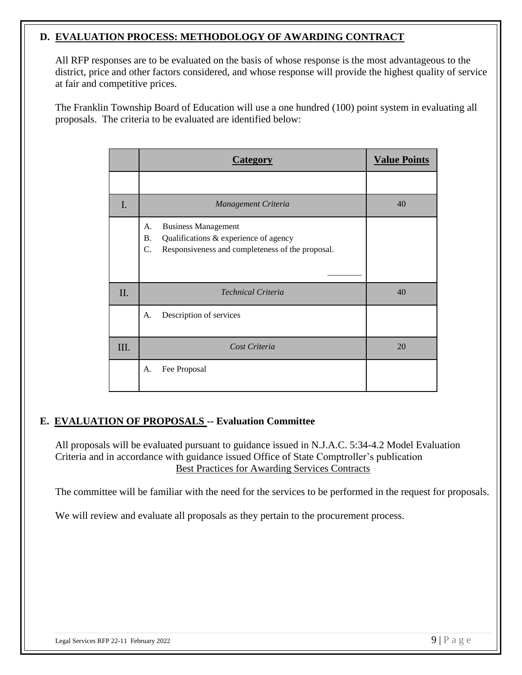#### **D. EVALUATION PROCESS: METHODOLOGY OF AWARDING CONTRACT**

All RFP responses are to be evaluated on the basis of whose response is the most advantageous to the district, price and other factors considered, and whose response will provide the highest quality of service at fair and competitive prices.

The Franklin Township Board of Education will use a one hundred (100) point system in evaluating all proposals. The criteria to be evaluated are identified below:

|     | Category                                                                                                                                                      | <b>Value Points</b> |
|-----|---------------------------------------------------------------------------------------------------------------------------------------------------------------|---------------------|
|     |                                                                                                                                                               |                     |
| I.  | Management Criteria                                                                                                                                           | 40                  |
|     | <b>Business Management</b><br>А.<br><b>B.</b><br>Qualifications & experience of agency<br>$\mathcal{C}$ .<br>Responsiveness and completeness of the proposal. |                     |
| II. | <b>Technical Criteria</b>                                                                                                                                     | 40                  |
|     | Description of services<br>A.                                                                                                                                 |                     |
| Ш.  | Cost Criteria                                                                                                                                                 | 20                  |
|     | Fee Proposal<br>A.                                                                                                                                            |                     |

#### **E. EVALUATION OF PROPOSALS -- Evaluation Committee**

All proposals will be evaluated pursuant to guidance issued in N.J.A.C. 5:34-4.2 Model Evaluation Criteria and in accordance with guidance issued Office of State Comptroller's publication Best Practices for Awarding Services Contracts

The committee will be familiar with the need for the services to be performed in the request for proposals.

We will review and evaluate all proposals as they pertain to the procurement process.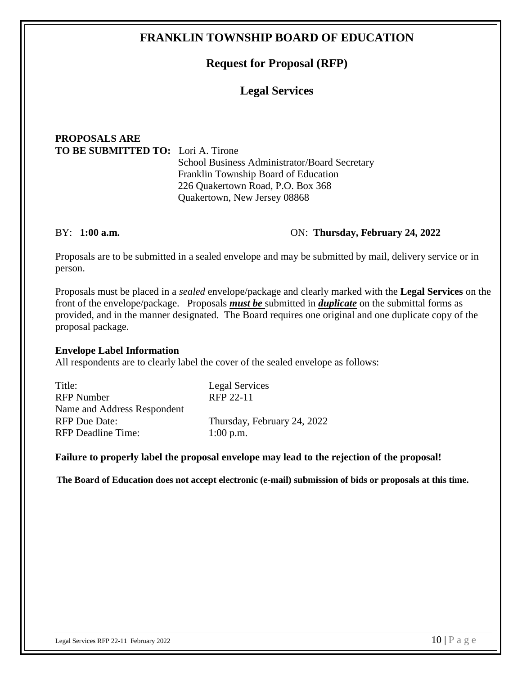#### **FRANKLIN TOWNSHIP BOARD OF EDUCATION**

#### **Request for Proposal (RFP)**

#### **Legal Services**

### **PROPOSALS ARE TO BE SUBMITTED TO:** Lori A. Tirone

School Business Administrator/Board Secretary Franklin Township Board of Education 226 Quakertown Road, P.O. Box 368 Quakertown, New Jersey 08868

#### BY: **1:00 a.m.** ON: **Thursday, February 24, 2022**

Proposals are to be submitted in a sealed envelope and may be submitted by mail, delivery service or in person.

Proposals must be placed in a *sealed* envelope/package and clearly marked with the **Legal Services** on the front of the envelope/package. Proposals *must be* submitted in *duplicate* on the submittal forms as provided, and in the manner designated. The Board requires one original and one duplicate copy of the proposal package.

#### **Envelope Label Information**

All respondents are to clearly label the cover of the sealed envelope as follows:

| Title:                      | Legal Services              |
|-----------------------------|-----------------------------|
| <b>RFP</b> Number           | RFP 22-11                   |
| Name and Address Respondent |                             |
| <b>RFP</b> Due Date:        | Thursday, February 24, 2022 |
| <b>RFP</b> Deadline Time:   | $1:00$ p.m.                 |
|                             |                             |

#### **Failure to properly label the proposal envelope may lead to the rejection of the proposal!**

 **The Board of Education does not accept electronic (e-mail) submission of bids or proposals at this time.**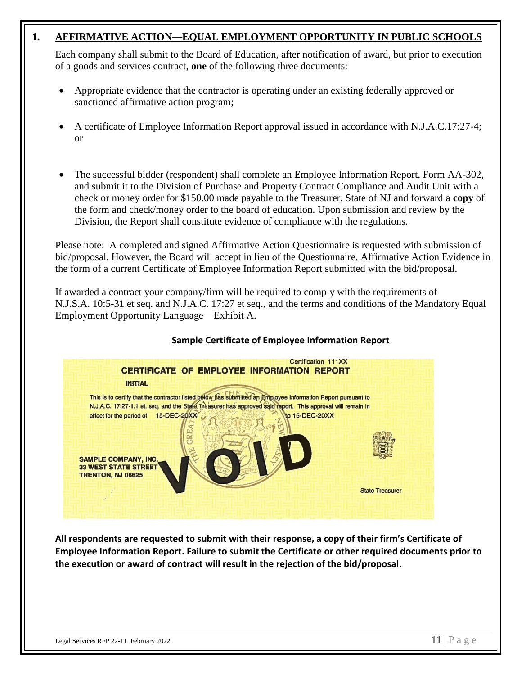#### **1. AFFIRMATIVE ACTION—EQUAL EMPLOYMENT OPPORTUNITY IN PUBLIC SCHOOLS**

Each company shall submit to the Board of Education, after notification of award, but prior to execution of a goods and services contract, **one** of the following three documents:

- Appropriate evidence that the contractor is operating under an existing federally approved or sanctioned affirmative action program;
- A certificate of Employee Information Report approval issued in accordance with N.J.A.C.17:27-4; or
- The successful bidder (respondent) shall complete an Employee Information Report, Form AA-302, and submit it to the Division of Purchase and Property Contract Compliance and Audit Unit with a check or money order for \$150.00 made payable to the Treasurer, State of NJ and forward a **copy** of the form and check/money order to the board of education. Upon submission and review by the Division, the Report shall constitute evidence of compliance with the regulations.

Please note: A completed and signed Affirmative Action Questionnaire is requested with submission of bid/proposal. However, the Board will accept in lieu of the Questionnaire, Affirmative Action Evidence in the form of a current Certificate of Employee Information Report submitted with the bid/proposal.

If awarded a contract your company/firm will be required to comply with the requirements of N.J.S.A. 10:5-31 et seq. and N.J.A.C. 17:27 et seq., and the terms and conditions of the Mandatory Equal Employment Opportunity Language—Exhibit A.

#### **Sample Certificate of Employee Information Report**



**All respondents are requested to submit with their response, a copy of their firm's Certificate of Employee Information Report. Failure to submit the Certificate or other required documents prior to the execution or award of contract will result in the rejection of the bid/proposal.**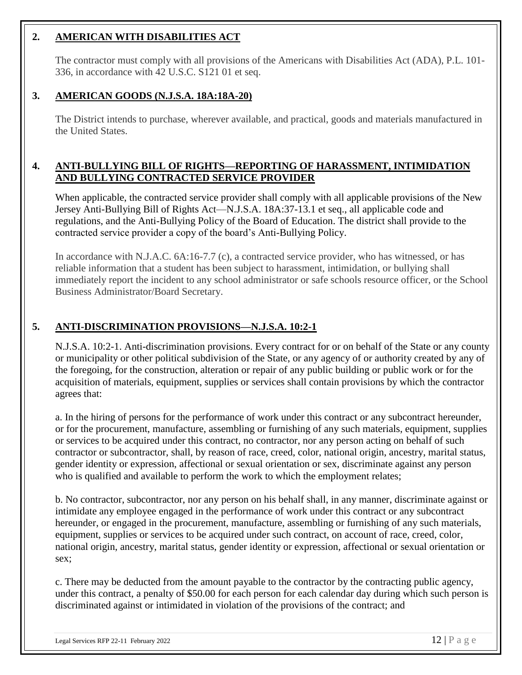#### **2. AMERICAN WITH DISABILITIES ACT**

The contractor must comply with all provisions of the Americans with Disabilities Act (ADA), P.L. 101- 336, in accordance with 42 U.S.C. S121 01 et seq.

#### **3. AMERICAN GOODS (N.J.S.A. 18A:18A-20)**

The District intends to purchase, wherever available, and practical, goods and materials manufactured in the United States.

#### **4. ANTI-BULLYING BILL OF RIGHTS—REPORTING OF HARASSMENT, INTIMIDATION AND BULLYING CONTRACTED SERVICE PROVIDER**

When applicable, the contracted service provider shall comply with all applicable provisions of the New Jersey Anti-Bullying Bill of Rights Act—N.J.S.A. 18A:37-13.1 et seq., all applicable code and regulations, and the Anti-Bullying Policy of the Board of Education. The district shall provide to the contracted service provider a copy of the board's Anti-Bullying Policy.

In accordance with N.J.A.C. 6A:16-7.7 (c), a contracted service provider, who has witnessed, or has reliable information that a student has been subject to harassment, intimidation, or bullying shall immediately report the incident to any school administrator or safe schools resource officer, or the School Business Administrator/Board Secretary.

#### **5. ANTI-DISCRIMINATION PROVISIONS—N.J.S.A. 10:2-1**

N.J.S.A. 10:2-1. Anti-discrimination provisions. Every contract for or on behalf of the State or any county or municipality or other political subdivision of the State, or any agency of or authority created by any of the foregoing, for the construction, alteration or repair of any public building or public work or for the acquisition of materials, equipment, supplies or services shall contain provisions by which the contractor agrees that:

a. In the hiring of persons for the performance of work under this contract or any subcontract hereunder, or for the procurement, manufacture, assembling or furnishing of any such materials, equipment, supplies or services to be acquired under this contract, no contractor, nor any person acting on behalf of such contractor or subcontractor, shall, by reason of race, creed, color, national origin, ancestry, marital status, gender identity or expression, affectional or sexual orientation or sex, discriminate against any person who is qualified and available to perform the work to which the employment relates;

b. No contractor, subcontractor, nor any person on his behalf shall, in any manner, discriminate against or intimidate any employee engaged in the performance of work under this contract or any subcontract hereunder, or engaged in the procurement, manufacture, assembling or furnishing of any such materials, equipment, supplies or services to be acquired under such contract, on account of race, creed, color, national origin, ancestry, marital status, gender identity or expression, affectional or sexual orientation or sex;

c. There may be deducted from the amount payable to the contractor by the contracting public agency, under this contract, a penalty of \$50.00 for each person for each calendar day during which such person is discriminated against or intimidated in violation of the provisions of the contract; and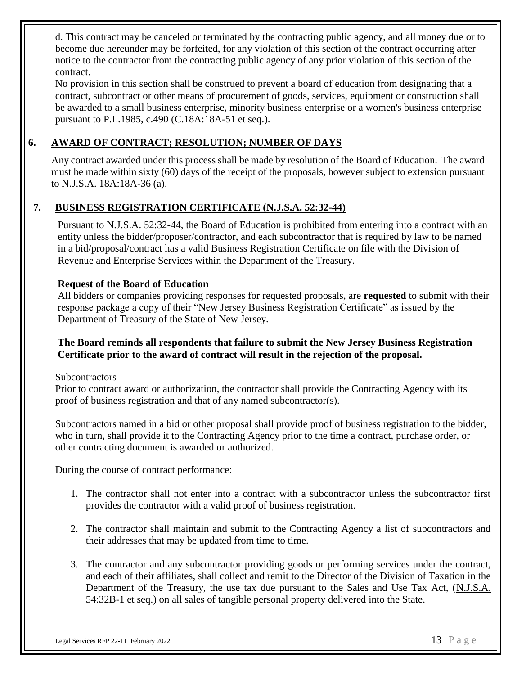d. This contract may be canceled or terminated by the contracting public agency, and all money due or to become due hereunder may be forfeited, for any violation of this section of the contract occurring after notice to the contractor from the contracting public agency of any prior violation of this section of the contract.

No provision in this section shall be construed to prevent a board of education from designating that a contract, subcontract or other means of procurement of goods, services, equipment or construction shall be awarded to a small business enterprise, minority business enterprise or a women's business enterprise pursuant to P.L[.1985, c.490](http://njlaw.rutgers.edu/cgi-bin/njstats/getnjstat3.cgi?yr=1985&chap=490) (C.18A:18A-51 et seq.).

#### **6. AWARD OF CONTRACT; RESOLUTION; NUMBER OF DAYS**

Any contract awarded under this process shall be made by resolution of the Board of Education. The award must be made within sixty (60) days of the receipt of the proposals, however subject to extension pursuant to N.J.S.A. 18A:18A-36 (a).

#### **7. BUSINESS REGISTRATION CERTIFICATE (N.J.S.A. 52:32-44)**

Pursuant to N.J.S.A. 52:32-44, the Board of Education is prohibited from entering into a contract with an entity unless the bidder/proposer/contractor, and each subcontractor that is required by law to be named in a bid/proposal/contract has a valid Business Registration Certificate on file with the Division of Revenue and Enterprise Services within the Department of the Treasury.

#### **Request of the Board of Education**

All bidders or companies providing responses for requested proposals, are **requested** to submit with their response package a copy of their "New Jersey Business Registration Certificate" as issued by the Department of Treasury of the State of New Jersey.

#### **The Board reminds all respondents that failure to submit the New Jersey Business Registration Certificate prior to the award of contract will result in the rejection of the proposal.**

**Subcontractors** 

Prior to contract award or authorization, the contractor shall provide the Contracting Agency with its proof of business registration and that of any named subcontractor(s).

Subcontractors named in a bid or other proposal shall provide proof of business registration to the bidder, who in turn, shall provide it to the Contracting Agency prior to the time a contract, purchase order, or other contracting document is awarded or authorized.

During the course of contract performance:

- 1. The contractor shall not enter into a contract with a subcontractor unless the subcontractor first provides the contractor with a valid proof of business registration.
- 2. The contractor shall maintain and submit to the Contracting Agency a list of subcontractors and their addresses that may be updated from time to time.
- 3. The contractor and any subcontractor providing goods or performing services under the contract, and each of their affiliates, shall collect and remit to the Director of the Division of Taxation in the Department of the Treasury, the use tax due pursuant to the Sales and Use Tax Act, (N.J.S.A. 54:32B-1 et seq.) on all sales of tangible personal property delivered into the State.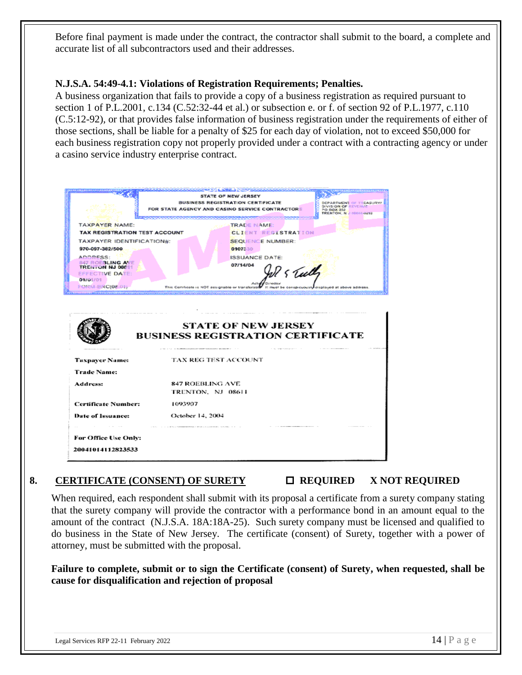Before final payment is made under the contract, the contractor shall submit to the board, a complete and accurate list of all subcontractors used and their addresses.

#### **N.J.S.A. 54:49-4.1: Violations of Registration Requirements; Penalties.**

A business organization that fails to provide a copy of a business registration as required pursuant to section 1 of P.L[.2001, c.134](http://njlaw.rutgers.edu/cgi-bin/njstats/getnjstat.cgi?yr=2001&chap=134) (C.52:32-44 et al.) or subsection e. or f. of section 92 of P.L[.1977, c.110](http://njlaw.rutgers.edu/cgi-bin/njstats/getnjstat.cgi?yr=1977&chap=110) (C.5:12-92), or that provides false information of business registration under the requirements of either of those sections, shall be liable for a penalty of \$25 for each day of violation, not to exceed \$50,000 for each business registration copy not properly provided under a contract with a contracting agency or under a casino service industry enterprise contract.

|                                      | STATE OF NEW JERSEY<br><b>BUSINESS REGISTRATION CERTIFICATE</b>        | DEPARTMENT OF TREASURY/                                       |
|--------------------------------------|------------------------------------------------------------------------|---------------------------------------------------------------|
|                                      | FOR STATE AGENCY AND CASINO SERVICE CONTRACTORS                        | DIVISION OF REVENUE<br>PO BOX 252<br>TRENTON, N.J. 00016-0252 |
|                                      |                                                                        |                                                               |
| <b>TAXPAYER NAME:</b>                | TRADE NAME:                                                            |                                                               |
| <b>TAX REGISTRATION TEST ACCOUNT</b> | <b>CLIENT REGISTRATION</b>                                             |                                                               |
| TAXPAYER IDENTIFICATION#:            | <b>SEQUENCE NUMBER:</b>                                                |                                                               |
| 970-097-382/500                      | 0107330                                                                |                                                               |
| ADDRESS:<br>847 ROEBLING AVE         | <b>ISSUANCE DATE:</b><br>07/14/04                                      |                                                               |
| <b>TRENTON NJ 06611</b>              | S Tull                                                                 |                                                               |
| <b>EFFECTIVE DATE:</b><br>01/01/01   |                                                                        |                                                               |
| FORM-BRC(08-01)-                     | This Certificate is NOT assignable or transferable                     | It must be conspicuously displayed at above address           |
|                                      | <b>STATE OF NEW JERSEY</b><br><b>BUSINESS REGISTRATION CERTIFICATE</b> |                                                               |
| <b>Taxpayer Name:</b>                | TAX REG TEST ACCOUNT                                                   |                                                               |
| <b>Trade Name:</b>                   |                                                                        |                                                               |
| Address:                             | 847 ROEBLING AVE                                                       |                                                               |
|                                      | TRENTON, NJ 08611                                                      |                                                               |
| <b>Certificate Number:</b>           | 1093907                                                                |                                                               |
| Date of Issuance:                    | October 14, 2004                                                       |                                                               |
|                                      |                                                                        |                                                               |
| For Office Use Only:                 |                                                                        |                                                               |

#### 8. **CERTIFICATE (CONSENT) OF SURETY**  $\Box$  **REQUIRED** X NOT REQUIRED

When required, each respondent shall submit with its proposal a certificate from a surety company stating that the surety company will provide the contractor with a performance bond in an amount equal to the amount of the contract (N.J.S.A. 18A:18A-25). Such surety company must be licensed and qualified to do business in the State of New Jersey. The certificate (consent) of Surety, together with a power of attorney, must be submitted with the proposal.

**Failure to complete, submit or to sign the Certificate (consent) of Surety, when requested, shall be cause for disqualification and rejection of proposal**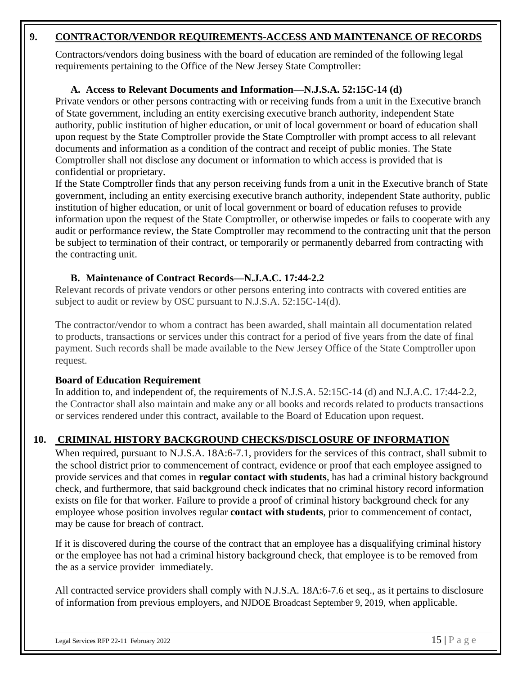#### **9. CONTRACTOR/VENDOR REQUIREMENTS-ACCESS AND MAINTENANCE OF RECORDS**

Contractors/vendors doing business with the board of education are reminded of the following legal requirements pertaining to the Office of the New Jersey State Comptroller:

#### **A. Access to Relevant Documents and Information—N.J.S.A. 52:15C-14 (d)**

Private vendors or other persons contracting with or receiving funds from a unit in the Executive branch of State government, including an entity exercising executive branch authority, independent State authority, public institution of higher education, or unit of local government or board of education shall upon request by the State Comptroller provide the State Comptroller with prompt access to all relevant documents and information as a condition of the contract and receipt of public monies. The State Comptroller shall not disclose any document or information to which access is provided that is confidential or proprietary.

If the State Comptroller finds that any person receiving funds from a unit in the Executive branch of State government, including an entity exercising executive branch authority, independent State authority, public institution of higher education, or unit of local government or board of education refuses to provide information upon the request of the State Comptroller, or otherwise impedes or fails to cooperate with any audit or performance review, the State Comptroller may recommend to the contracting unit that the person be subject to termination of their contract, or temporarily or permanently debarred from contracting with the contracting unit.

#### **B. Maintenance of Contract Records—N.J.A.C. 17:44-2.2**

Relevant records of private vendors or other persons entering into contracts with covered entities are subject to audit or review by OSC pursuant to N.J.S.A. 52:15C-14(d).

The contractor/vendor to whom a contract has been awarded, shall maintain all documentation related to products, transactions or services under this contract for a period of five years from the date of final payment. Such records shall be made available to the New Jersey Office of the State Comptroller upon request.

#### **Board of Education Requirement**

In addition to, and independent of, the requirements of N.J.S.A. 52:15C-14 (d) and N.J.A.C. 17:44-2.2, the Contractor shall also maintain and make any or all books and records related to products transactions or services rendered under this contract, available to the Board of Education upon request.

#### **10. CRIMINAL HISTORY BACKGROUND CHECKS/DISCLOSURE OF INFORMATION**

When required, pursuant to N.J.S.A. 18A:6-7.1, providers for the services of this contract, shall submit to the school district prior to commencement of contract, evidence or proof that each employee assigned to provide services and that comes in **regular contact with students**, has had a criminal history background check, and furthermore, that said background check indicates that no criminal history record information exists on file for that worker. Failure to provide a proof of criminal history background check for any employee whose position involves regular **contact with students**, prior to commencement of contact, may be cause for breach of contract.

If it is discovered during the course of the contract that an employee has a disqualifying criminal history or the employee has not had a criminal history background check, that employee is to be removed from the as a service provider immediately.

All contracted service providers shall comply with N.J.S.A. 18A:6-7.6 et seq., as it pertains to disclosure of information from previous employers, and NJDOE Broadcast September 9, 2019, when applicable.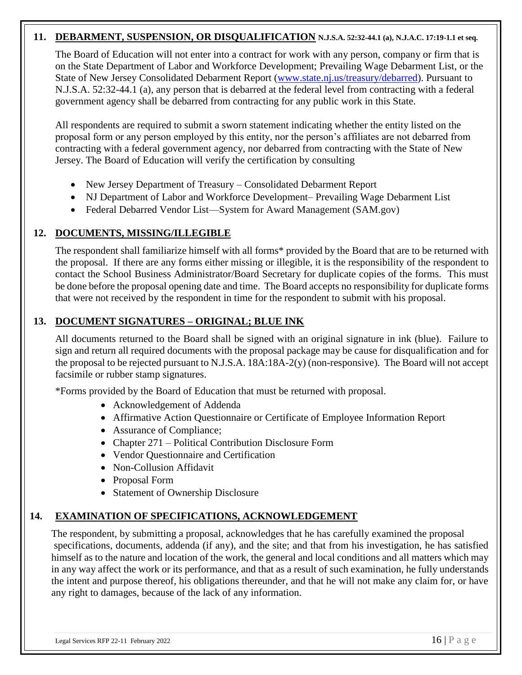#### **11. DEBARMENT, SUSPENSION, OR DISQUALIFICATION N.J.S.A. 52:32-44.1 (a), N.J.A.C. 17:19-1.1 et seq.**

The Board of Education will not enter into a contract for work with any person, company or firm that is on the State Department of Labor and Workforce Development; Prevailing Wage Debarment List, or the State of New Jersey Consolidated Debarment Report [\(www.state.nj.us/treasury/debarred\)](http://www.state.nj.us/treasury/debarred). Pursuant to N.J.S.A. 52:32-44.1 (a), any person that is debarred at the federal level from contracting with a federal government agency shall be debarred from contracting for any public work in this State.

All respondents are required to submit a sworn statement indicating whether the entity listed on the proposal form or any person employed by this entity, nor the person's affiliates are not debarred from contracting with a federal government agency, nor debarred from contracting with the State of New Jersey. The Board of Education will verify the certification by consulting

- New Jersey Department of Treasury Consolidated Debarment Report
- NJ Department of Labor and Workforce Development– Prevailing Wage Debarment List
- Federal Debarred Vendor List—System for Award Management (SAM.gov)

#### **12. DOCUMENTS, MISSING/ILLEGIBLE**

The respondent shall familiarize himself with all forms\* provided by the Board that are to be returned with the proposal. If there are any forms either missing or illegible, it is the responsibility of the respondent to contact the School Business Administrator/Board Secretary for duplicate copies of the forms. This must be done before the proposal opening date and time. The Board accepts no responsibility for duplicate forms that were not received by the respondent in time for the respondent to submit with his proposal.

#### **13. DOCUMENT SIGNATURES – ORIGINAL; BLUE INK**

All documents returned to the Board shall be signed with an original signature in ink (blue). Failure to sign and return all required documents with the proposal package may be cause for disqualification and for the proposal to be rejected pursuant to N.J.S.A. 18A:18A-2(y) (non-responsive). The Board will not accept facsimile or rubber stamp signatures.

\*Forms provided by the Board of Education that must be returned with proposal.

- Acknowledgement of Addenda
- Affirmative Action Questionnaire or Certificate of Employee Information Report
- Assurance of Compliance;
- Chapter 271 Political Contribution Disclosure Form
- Vendor Questionnaire and Certification
- Non-Collusion Affidavit
- Proposal Form
- Statement of Ownership Disclosure

#### **14. EXAMINATION OF SPECIFICATIONS, ACKNOWLEDGEMENT**

The respondent, by submitting a proposal, acknowledges that he has carefully examined the proposal specifications, documents, addenda (if any), and the site; and that from his investigation, he has satisfied himself as to the nature and location of the work, the general and local conditions and all matters which may in any way affect the work or its performance, and that as a result of such examination, he fully understands the intent and purpose thereof, his obligations thereunder, and that he will not make any claim for, or have any right to damages, because of the lack of any information.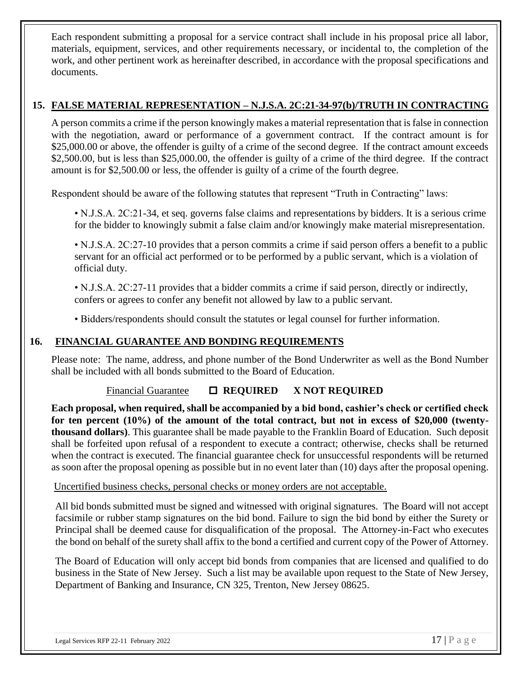Each respondent submitting a proposal for a service contract shall include in his proposal price all labor, materials, equipment, services, and other requirements necessary, or incidental to, the completion of the work, and other pertinent work as hereinafter described, in accordance with the proposal specifications and documents.

#### **15. FALSE MATERIAL REPRESENTATION – N.J.S.A. 2C:21-34-97(b)/TRUTH IN CONTRACTING**

A person commits a crime if the person knowingly makes a material representation that is false in connection with the negotiation, award or performance of a government contract. If the contract amount is for \$25,000.00 or above, the offender is guilty of a crime of the second degree. If the contract amount exceeds \$2,500.00, but is less than \$25,000.00, the offender is guilty of a crime of the third degree. If the contract amount is for \$2,500.00 or less, the offender is guilty of a crime of the fourth degree.

Respondent should be aware of the following statutes that represent "Truth in Contracting" laws:

• N.J.S.A. 2C:21-34, et seq. governs false claims and representations by bidders. It is a serious crime for the bidder to knowingly submit a false claim and/or knowingly make material misrepresentation.

• N.J.S.A. 2C:27-10 provides that a person commits a crime if said person offers a benefit to a public servant for an official act performed or to be performed by a public servant, which is a violation of official duty.

• N.J.S.A. 2C:27-11 provides that a bidder commits a crime if said person, directly or indirectly, confers or agrees to confer any benefit not allowed by law to a public servant.

• Bidders/respondents should consult the statutes or legal counsel for further information.

#### **16. FINANCIAL GUARANTEE AND BONDING REQUIREMENTS**

Please note: The name, address, and phone number of the Bond Underwriter as well as the Bond Number shall be included with all bonds submitted to the Board of Education.

#### Financial Guarantee  **REQUIRED X NOT REQUIRED**

**Each proposal, when required, shall be accompanied by a bid bond, cashier's check or certified check for ten percent (10%) of the amount of the total contract, but not in excess of \$20,000 (twentythousand dollars)**. This guarantee shall be made payable to the Franklin Board of Education. Such deposit shall be forfeited upon refusal of a respondent to execute a contract; otherwise, checks shall be returned when the contract is executed. The financial guarantee check for unsuccessful respondents will be returned as soon after the proposal opening as possible but in no event later than (10) days after the proposal opening.

#### Uncertified business checks, personal checks or money orders are not acceptable.

All bid bonds submitted must be signed and witnessed with original signatures. The Board will not accept facsimile or rubber stamp signatures on the bid bond. Failure to sign the bid bond by either the Surety or Principal shall be deemed cause for disqualification of the proposal. The Attorney-in-Fact who executes the bond on behalf of the surety shall affix to the bond a certified and current copy of the Power of Attorney.

The Board of Education will only accept bid bonds from companies that are licensed and qualified to do business in the State of New Jersey. Such a list may be available upon request to the State of New Jersey, Department of Banking and Insurance, CN 325, Trenton, New Jersey 08625.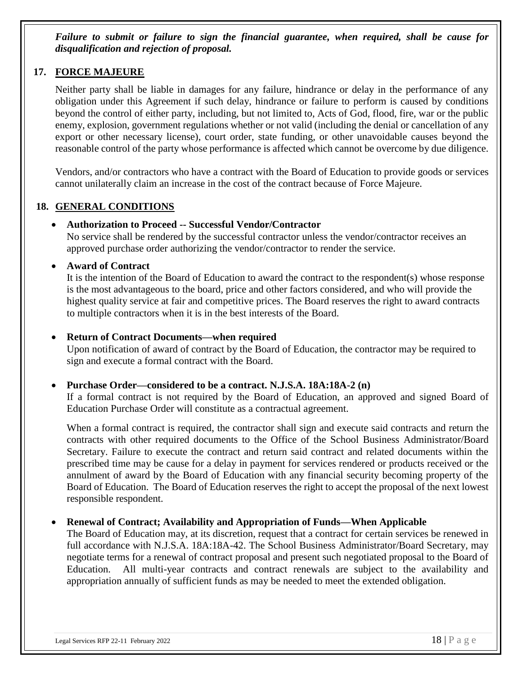*Failure to submit or failure to sign the financial guarantee, when required, shall be cause for disqualification and rejection of proposal.*

#### **17. FORCE MAJEURE**

Neither party shall be liable in damages for any failure, hindrance or delay in the performance of any obligation under this Agreement if such delay, hindrance or failure to perform is caused by conditions beyond the control of either party, including, but not limited to, Acts of God, flood, fire, war or the public enemy, explosion, government regulations whether or not valid (including the denial or cancellation of any export or other necessary license), court order, state funding, or other unavoidable causes beyond the reasonable control of the party whose performance is affected which cannot be overcome by due diligence.

Vendors, and/or contractors who have a contract with the Board of Education to provide goods or services cannot unilaterally claim an increase in the cost of the contract because of Force Majeure.

#### **18. GENERAL CONDITIONS**

#### • **Authorization to Proceed -- Successful Vendor/Contractor**

No service shall be rendered by the successful contractor unless the vendor/contractor receives an approved purchase order authorizing the vendor/contractor to render the service.

#### • **Award of Contract**

It is the intention of the Board of Education to award the contract to the respondent(s) whose response is the most advantageous to the board, price and other factors considered, and who will provide the highest quality service at fair and competitive prices. The Board reserves the right to award contracts to multiple contractors when it is in the best interests of the Board.

#### • **Return of Contract Documents—when required**

Upon notification of award of contract by the Board of Education, the contractor may be required to sign and execute a formal contract with the Board.

#### • **Purchase Order—considered to be a contract. N.J.S.A. 18A:18A-2 (n)**

If a formal contract is not required by the Board of Education, an approved and signed Board of Education Purchase Order will constitute as a contractual agreement.

When a formal contract is required, the contractor shall sign and execute said contracts and return the contracts with other required documents to the Office of the School Business Administrator/Board Secretary. Failure to execute the contract and return said contract and related documents within the prescribed time may be cause for a delay in payment for services rendered or products received or the annulment of award by the Board of Education with any financial security becoming property of the Board of Education. The Board of Education reserves the right to accept the proposal of the next lowest responsible respondent.

#### • **Renewal of Contract; Availability and Appropriation of Funds—When Applicable**

The Board of Education may, at its discretion, request that a contract for certain services be renewed in full accordance with N.J.S.A. 18A:18A-42. The School Business Administrator/Board Secretary, may negotiate terms for a renewal of contract proposal and present such negotiated proposal to the Board of Education. All multi-year contracts and contract renewals are subject to the availability and appropriation annually of sufficient funds as may be needed to meet the extended obligation.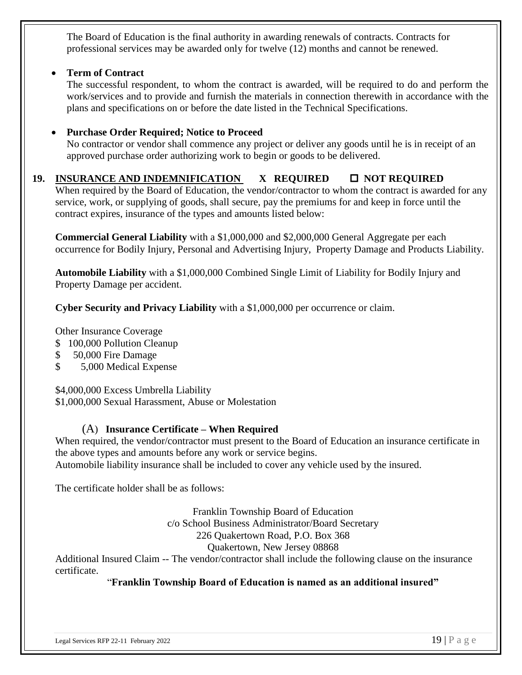The Board of Education is the final authority in awarding renewals of contracts. Contracts for professional services may be awarded only for twelve (12) months and cannot be renewed.

#### • **Term of Contract**

The successful respondent, to whom the contract is awarded, will be required to do and perform the work/services and to provide and furnish the materials in connection therewith in accordance with the plans and specifications on or before the date listed in the Technical Specifications.

#### • **Purchase Order Required; Notice to Proceed**

No contractor or vendor shall commence any project or deliver any goods until he is in receipt of an approved purchase order authorizing work to begin or goods to be delivered.

#### 19. **INSURANCE AND INDEMNIFICATION X REQUIRED**  $\Box$  NOT REQUIRED

When required by the Board of Education, the vendor/contractor to whom the contract is awarded for any service, work, or supplying of goods, shall secure, pay the premiums for and keep in force until the contract expires, insurance of the types and amounts listed below:

**Commercial General Liability** with a \$1,000,000 and \$2,000,000 General Aggregate per each occurrence for Bodily Injury, Personal and Advertising Injury, Property Damage and Products Liability.

**Automobile Liability** with a \$1,000,000 Combined Single Limit of Liability for Bodily Injury and Property Damage per accident.

**Cyber Security and Privacy Liability** with a \$1,000,000 per occurrence or claim.

Other Insurance Coverage

- \$ 100,000 Pollution Cleanup
- \$ 50,000 Fire Damage
- \$ 5,000 Medical Expense

\$4,000,000 Excess Umbrella Liability

\$1,000,000 Sexual Harassment, Abuse or Molestation

#### (A) **Insurance Certificate – When Required**

When required, the vendor/contractor must present to the Board of Education an insurance certificate in the above types and amounts before any work or service begins. Automobile liability insurance shall be included to cover any vehicle used by the insured.

The certificate holder shall be as follows:

Franklin Township Board of Education c/o School Business Administrator/Board Secretary 226 Quakertown Road, P.O. Box 368 Quakertown, New Jersey 08868

Additional Insured Claim -- The vendor/contractor shall include the following clause on the insurance certificate.

#### "**Franklin Township Board of Education is named as an additional insured"**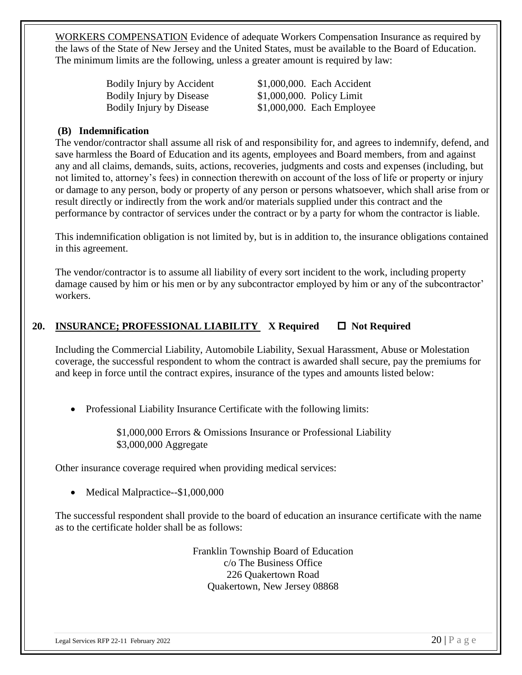WORKERS COMPENSATION Evidence of adequate Workers Compensation Insurance as required by the laws of the State of New Jersey and the United States, must be available to the Board of Education. The minimum limits are the following, unless a greater amount is required by law:

| Bodily Injury by Accident       | \$1,000,000. Each Accident   |
|---------------------------------|------------------------------|
| <b>Bodily Injury by Disease</b> | $$1,000,000$ . Policy Limit  |
| <b>Bodily Injury by Disease</b> | $$1,000,000$ . Each Employee |

#### **(B)****Indemnification**

The vendor/contractor shall assume all risk of and responsibility for, and agrees to indemnify, defend, and save harmless the Board of Education and its agents, employees and Board members, from and against any and all claims, demands, suits, actions, recoveries, judgments and costs and expenses (including, but not limited to, attorney's fees) in connection therewith on account of the loss of life or property or injury or damage to any person, body or property of any person or persons whatsoever, which shall arise from or result directly or indirectly from the work and/or materials supplied under this contract and the performance by contractor of services under the contract or by a party for whom the contractor is liable.

This indemnification obligation is not limited by, but is in addition to, the insurance obligations contained in this agreement.

The vendor/contractor is to assume all liability of every sort incident to the work, including property damage caused by him or his men or by any subcontractor employed by him or any of the subcontractor' workers.

#### **20. INSURANCE; PROFESSIONAL LIABILITY** X Required □ Not Required

Including the Commercial Liability, Automobile Liability, Sexual Harassment, Abuse or Molestation coverage, the successful respondent to whom the contract is awarded shall secure, pay the premiums for and keep in force until the contract expires, insurance of the types and amounts listed below:

• Professional Liability Insurance Certificate with the following limits:

\$1,000,000 Errors & Omissions Insurance or Professional Liability \$3,000,000 Aggregate

Other insurance coverage required when providing medical services:

• Medical Malpractice--\$1,000,000

The successful respondent shall provide to the board of education an insurance certificate with the name as to the certificate holder shall be as follows:

> Franklin Township Board of Education c/o The Business Office 226 Quakertown Road Quakertown, New Jersey 08868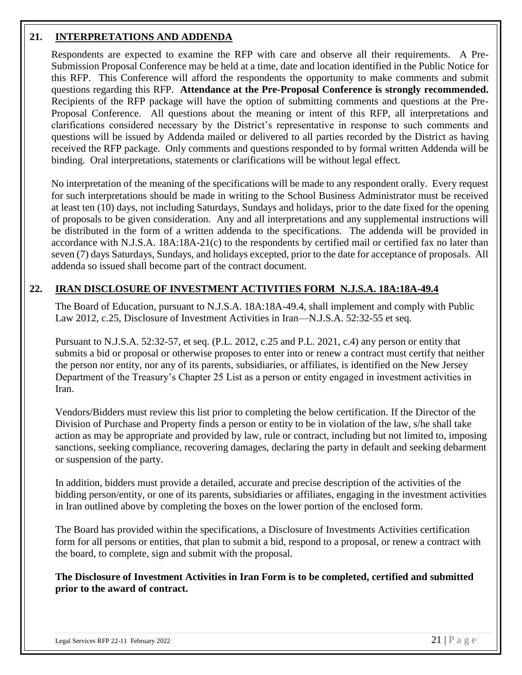#### **21. INTERPRETATIONS AND ADDENDA**

Respondents are expected to examine the RFP with care and observe all their requirements. A Pre-Submission Proposal Conference may be held at a time, date and location identified in the Public Notice for this RFP. This Conference will afford the respondents the opportunity to make comments and submit questions regarding this RFP. **Attendance at the Pre-Proposal Conference is strongly recommended.** Recipients of the RFP package will have the option of submitting comments and questions at the Pre-Proposal Conference. All questions about the meaning or intent of this RFP, all interpretations and clarifications considered necessary by the District's representative in response to such comments and questions will be issued by Addenda mailed or delivered to all parties recorded by the District as having received the RFP package. Only comments and questions responded to by formal written Addenda will be binding. Oral interpretations, statements or clarifications will be without legal effect.

No interpretation of the meaning of the specifications will be made to any respondent orally. Every request for such interpretations should be made in writing to the School Business Administrator must be received at least ten (10) days, not including Saturdays, Sundays and holidays, prior to the date fixed for the opening of proposals to be given consideration. Any and all interpretations and any supplemental instructions will be distributed in the form of a written addenda to the specifications. The addenda will be provided in accordance with N.J.S.A. 18A:18A-21(c) to the respondents by certified mail or certified fax no later than seven (7) days Saturdays, Sundays, and holidays excepted, prior to the date for acceptance of proposals. All addenda so issued shall become part of the contract document.

#### **22. IRAN DISCLOSURE OF INVESTMENT ACTIVITIES FORM N.J.S.A. 18A:18A-49.4**

The Board of Education, pursuant to N.J.S.A. 18A:18A-49.4, shall implement and comply with Public Law 2012, c.25, Disclosure of Investment Activities in Iran—N.J.S.A. 52:32-55 et seq.

Pursuant to N.J.S.A. 52:32-57, et seq. (P.L. 2012, c.25 and P.L. 2021, c.4) any person or entity that submits a bid or proposal or otherwise proposes to enter into or renew a contract must certify that neither the person nor entity, nor any of its parents, subsidiaries, or affiliates, is identified on the New Jersey Department of the Treasury's Chapter 25 List as a person or entity engaged in investment activities in Iran.

Vendors/Bidders must review this list prior to completing the below certification. If the Director of the Division of Purchase and Property finds a person or entity to be in violation of the law, s/he shall take action as may be appropriate and provided by law, rule or contract, including but not limited to, imposing sanctions, seeking compliance, recovering damages, declaring the party in default and seeking debarment or suspension of the party.

In addition, bidders must provide a detailed, accurate and precise description of the activities of the bidding person/entity, or one of its parents, subsidiaries or affiliates, engaging in the investment activities in Iran outlined above by completing the boxes on the lower portion of the enclosed form.

The Board has provided within the specifications, a Disclosure of Investments Activities certification form for all persons or entities, that plan to submit a bid, respond to a proposal, or renew a contract with the board, to complete, sign and submit with the proposal.

**The Disclosure of Investment Activities in Iran Form is to be completed, certified and submitted prior to the award of contract.**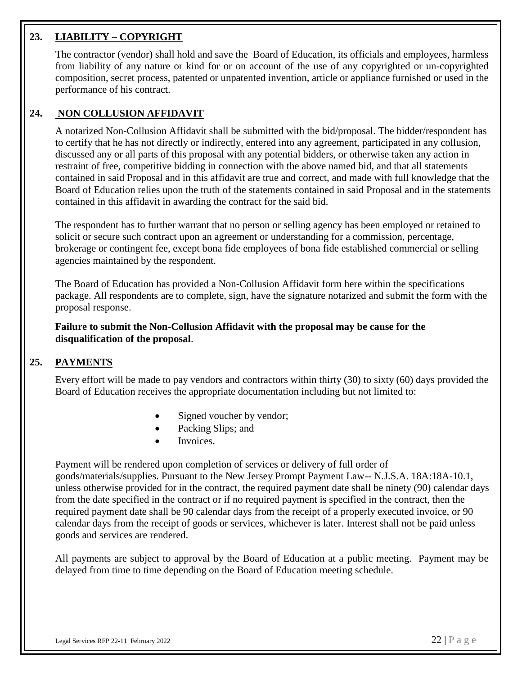#### **23. LIABILITY – COPYRIGHT**

The contractor (vendor) shall hold and save the Board of Education, its officials and employees, harmless from liability of any nature or kind for or on account of the use of any copyrighted or un-copyrighted composition, secret process, patented or unpatented invention, article or appliance furnished or used in the performance of his contract.

#### **24. NON COLLUSION AFFIDAVIT**

A notarized Non-Collusion Affidavit shall be submitted with the bid/proposal. The bidder/respondent has to certify that he has not directly or indirectly, entered into any agreement, participated in any collusion, discussed any or all parts of this proposal with any potential bidders, or otherwise taken any action in restraint of free, competitive bidding in connection with the above named bid, and that all statements contained in said Proposal and in this affidavit are true and correct, and made with full knowledge that the Board of Education relies upon the truth of the statements contained in said Proposal and in the statements contained in this affidavit in awarding the contract for the said bid.

The respondent has to further warrant that no person or selling agency has been employed or retained to solicit or secure such contract upon an agreement or understanding for a commission, percentage, brokerage or contingent fee, except bona fide employees of bona fide established commercial or selling agencies maintained by the respondent.

The Board of Education has provided a Non-Collusion Affidavit form here within the specifications package. All respondents are to complete, sign, have the signature notarized and submit the form with the proposal response.

**Failure to submit the Non-Collusion Affidavit with the proposal may be cause for the disqualification of the proposal**.

#### **25. PAYMENTS**

Every effort will be made to pay vendors and contractors within thirty (30) to sixty (60) days provided the Board of Education receives the appropriate documentation including but not limited to:

- Signed voucher by vendor;
- Packing Slips; and
- Invoices.

Payment will be rendered upon completion of services or delivery of full order of goods/materials/supplies. Pursuant to the New Jersey Prompt Payment Law-- N.J.S.A. 18A:18A-10.1, unless otherwise provided for in the contract, the required payment date shall be ninety (90) calendar days from the date specified in the contract or if no required payment is specified in the contract, then the required payment date shall be 90 calendar days from the receipt of a properly executed invoice, or 90 calendar days from the receipt of goods or services, whichever is later. Interest shall not be paid unless goods and services are rendered.

All payments are subject to approval by the Board of Education at a public meeting. Payment may be delayed from time to time depending on the Board of Education meeting schedule.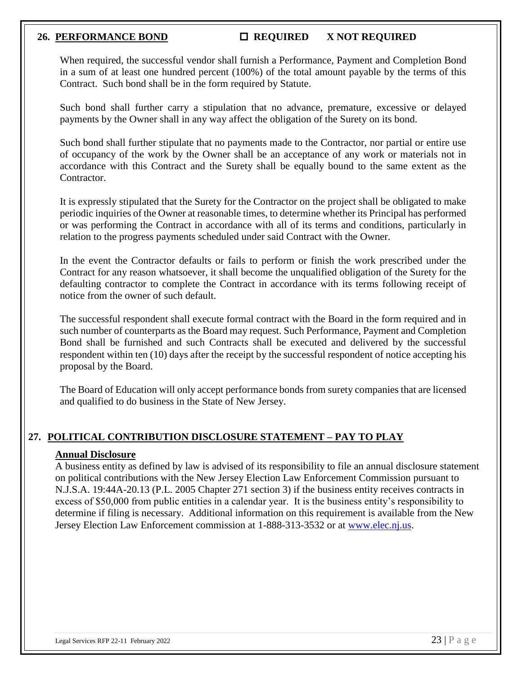#### 26. **PERFORMANCE BOND CONOUNTED REQUIRED X NOT REQUIRED**

When required, the successful vendor shall furnish a Performance, Payment and Completion Bond in a sum of at least one hundred percent (100%) of the total amount payable by the terms of this Contract. Such bond shall be in the form required by Statute.

Such bond shall further carry a stipulation that no advance, premature, excessive or delayed payments by the Owner shall in any way affect the obligation of the Surety on its bond.

Such bond shall further stipulate that no payments made to the Contractor, nor partial or entire use of occupancy of the work by the Owner shall be an acceptance of any work or materials not in accordance with this Contract and the Surety shall be equally bound to the same extent as the Contractor.

It is expressly stipulated that the Surety for the Contractor on the project shall be obligated to make periodic inquiries of the Owner at reasonable times, to determine whether its Principal has performed or was performing the Contract in accordance with all of its terms and conditions, particularly in relation to the progress payments scheduled under said Contract with the Owner.

In the event the Contractor defaults or fails to perform or finish the work prescribed under the Contract for any reason whatsoever, it shall become the unqualified obligation of the Surety for the defaulting contractor to complete the Contract in accordance with its terms following receipt of notice from the owner of such default.

The successful respondent shall execute formal contract with the Board in the form required and in such number of counterparts as the Board may request. Such Performance, Payment and Completion Bond shall be furnished and such Contracts shall be executed and delivered by the successful respondent within ten (10) days after the receipt by the successful respondent of notice accepting his proposal by the Board.

The Board of Education will only accept performance bonds from surety companies that are licensed and qualified to do business in the State of New Jersey.

#### **27. POLITICAL CONTRIBUTION DISCLOSURE STATEMENT – PAY TO PLAY**

#### **Annual Disclosure**

A business entity as defined by law is advised of its responsibility to file an annual disclosure statement on political contributions with the New Jersey Election Law Enforcement Commission pursuant to N.J.S.A. 19:44A-20.13 (P.L. 2005 Chapter 271 section 3) if the business entity receives contracts in excess of \$50,000 from public entities in a calendar year. It is the business entity's responsibility to determine if filing is necessary. Additional information on this requirement is available from the New Jersey Election Law Enforcement commission at 1-888-313-3532 or at [www.elec.nj.us.](http://www.elec.nj.us/)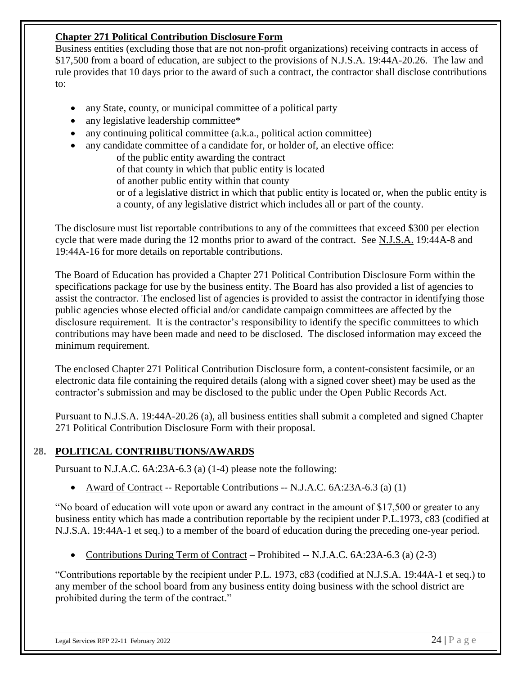#### **Chapter 271 Political Contribution Disclosure Form**

Business entities (excluding those that are not non-profit organizations) receiving contracts in access of \$17,500 from a board of education, are subject to the provisions of N.J.S.A. 19:44A-20.26. The law and rule provides that 10 days prior to the award of such a contract, the contractor shall disclose contributions to:

- any State, county, or municipal committee of a political party
- any legislative leadership committee\*
- any continuing political committee (a.k.a., political action committee)
- any candidate committee of a candidate for, or holder of, an elective office:

of the public entity awarding the contract

of that county in which that public entity is located

of another public entity within that county

or of a legislative district in which that public entity is located or, when the public entity is a county, of any legislative district which includes all or part of the county.

The disclosure must list reportable contributions to any of the committees that exceed \$300 per election cycle that were made during the 12 months prior to award of the contract. See N.J.S.A. 19:44A-8 and 19:44A-16 for more details on reportable contributions.

The Board of Education has provided a Chapter 271 Political Contribution Disclosure Form within the specifications package for use by the business entity. The Board has also provided a list of agencies to assist the contractor. The enclosed list of agencies is provided to assist the contractor in identifying those public agencies whose elected official and/or candidate campaign committees are affected by the disclosure requirement. It is the contractor's responsibility to identify the specific committees to which contributions may have been made and need to be disclosed. The disclosed information may exceed the minimum requirement.

The enclosed Chapter 271 Political Contribution Disclosure form, a content-consistent facsimile, or an electronic data file containing the required details (along with a signed cover sheet) may be used as the contractor's submission and may be disclosed to the public under the Open Public Records Act.

Pursuant to N.J.S.A. 19:44A-20.26 (a), all business entities shall submit a completed and signed Chapter 271 Political Contribution Disclosure Form with their proposal.

#### **28. POLITICAL CONTRIIBUTIONS/AWARDS**

Pursuant to N.J.A.C. 6A:23A-6.3 (a) (1-4) please note the following:

• Award of Contract -- Reportable Contributions -- N.J.A.C. 6A:23A-6.3 (a) (1)

"No board of education will vote upon or award any contract in the amount of \$17,500 or greater to any business entity which has made a contribution reportable by the recipient under P.L.1973, c83 (codified at N.J.S.A. 19:44A-1 et seq.) to a member of the board of education during the preceding one-year period.

• Contributions During Term of Contract – Prohibited -- N.J.A.C. 6A:23A-6.3 (a) (2-3)

"Contributions reportable by the recipient under P.L. 1973, c83 (codified at N.J.S.A. 19:44A-1 et seq.) to any member of the school board from any business entity doing business with the school district are prohibited during the term of the contract."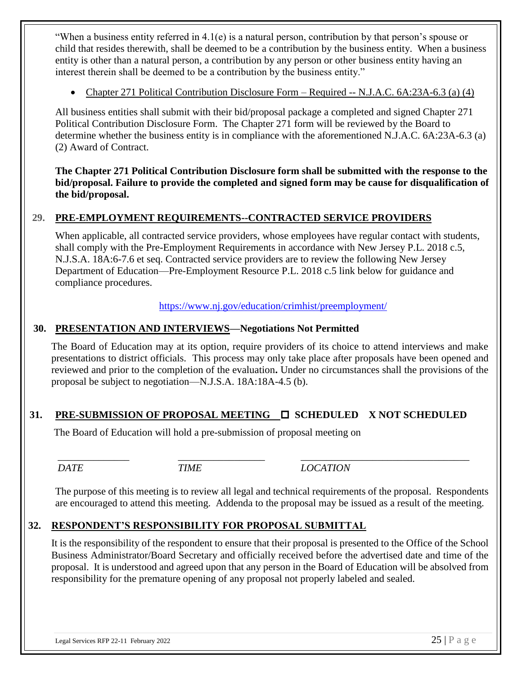"When a business entity referred in 4.1(e) is a natural person, contribution by that person's spouse or child that resides therewith, shall be deemed to be a contribution by the business entity. When a business entity is other than a natural person, a contribution by any person or other business entity having an interest therein shall be deemed to be a contribution by the business entity."

• Chapter 271 Political Contribution Disclosure Form – Required -- N.J.A.C. 6A:23A-6.3 (a) (4)

All business entities shall submit with their bid/proposal package a completed and signed Chapter 271 Political Contribution Disclosure Form. The Chapter 271 form will be reviewed by the Board to determine whether the business entity is in compliance with the aforementioned N.J.A.C. 6A:23A-6.3 (a) (2) Award of Contract.

**The Chapter 271 Political Contribution Disclosure form shall be submitted with the response to the bid/proposal. Failure to provide the completed and signed form may be cause for disqualification of the bid/proposal.**

#### **29. PRE-EMPLOYMENT REQUIREMENTS--CONTRACTED SERVICE PROVIDERS**

When applicable, all contracted service providers, whose employees have regular contact with students, shall comply with the Pre-Employment Requirements in accordance with New Jersey P.L. 2018 c.5, N.J.S.A. 18A:6-7.6 et seq. Contracted service providers are to review the following New Jersey Department of Education—Pre-Employment Resource P.L. 2018 c.5 link below for guidance and compliance procedures.

<https://www.nj.gov/education/crimhist/preemployment/>

#### **30. PRESENTATION AND INTERVIEWS—Negotiations Not Permitted**

The Board of Education may at its option, require providers of its choice to attend interviews and make presentations to district officials. This process may only take place after proposals have been opened and reviewed and prior to the completion of the evaluation**.** Under no circumstances shall the provisions of the proposal be subject to negotiation—N.J.S.A. 18A:18A-4.5 (b).

#### 31. **PRE-SUBMISSION OF PROPOSAL MEETING □ SCHEDULED X NOT SCHEDULED**

The Board of Education will hold a pre-submission of proposal meeting on

*DATE TIME LOCATION*

The purpose of this meeting is to review all legal and technical requirements of the proposal. Respondents are encouraged to attend this meeting. Addenda to the proposal may be issued as a result of the meeting.

*\_\_\_\_\_\_\_\_\_\_\_\_\_\_ \_\_\_\_\_\_\_\_\_\_\_\_\_\_\_\_\_ \_\_\_\_\_\_\_\_\_\_\_\_\_\_\_\_\_\_\_\_\_\_\_\_\_\_\_\_\_\_\_\_\_*

#### **32. RESPONDENT'S RESPONSIBILITY FOR PROPOSAL SUBMITTAL**

It is the responsibility of the respondent to ensure that their proposal is presented to the Office of the School Business Administrator/Board Secretary and officially received before the advertised date and time of the proposal. It is understood and agreed upon that any person in the Board of Education will be absolved from responsibility for the premature opening of any proposal not properly labeled and sealed.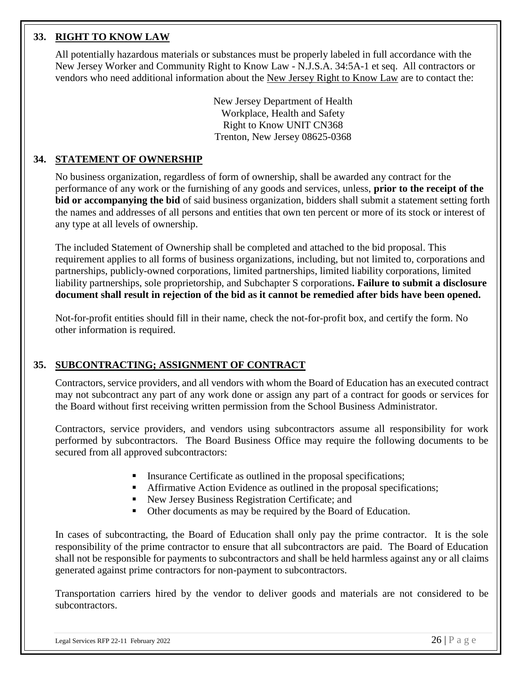#### **33. RIGHT TO KNOW LAW**

All potentially hazardous materials or substances must be properly labeled in full accordance with the New Jersey Worker and Community Right to Know Law - N.J.S.A. 34:5A-1 et seq. All contractors or vendors who need additional information about the New Jersey Right to Know Law are to contact the:

> New Jersey Department of Health Workplace, Health and Safety Right to Know UNIT CN368 Trenton, New Jersey 08625-0368

#### **34. STATEMENT OF OWNERSHIP**

No business organization, regardless of form of ownership, shall be awarded any contract for the performance of any work or the furnishing of any goods and services, unless, **prior to the receipt of the bid or accompanying the bid** of said business organization, bidders shall submit a statement setting forth the names and addresses of all persons and entities that own ten percent or more of its stock or interest of any type at all levels of ownership.

The included Statement of Ownership shall be completed and attached to the bid proposal. This requirement applies to all forms of business organizations, including, but not limited to, corporations and partnerships, publicly-owned corporations, limited partnerships, limited liability corporations, limited liability partnerships, sole proprietorship, and Subchapter S corporations**. Failure to submit a disclosure document shall result in rejection of the bid as it cannot be remedied after bids have been opened.** 

Not-for-profit entities should fill in their name, check the not-for-profit box, and certify the form. No other information is required.

#### **35. SUBCONTRACTING; ASSIGNMENT OF CONTRACT**

Contractors, service providers, and all vendors with whom the Board of Education has an executed contract may not subcontract any part of any work done or assign any part of a contract for goods or services for the Board without first receiving written permission from the School Business Administrator.

Contractors, service providers, and vendors using subcontractors assume all responsibility for work performed by subcontractors. The Board Business Office may require the following documents to be secured from all approved subcontractors:

- **Exercise** Insurance Certificate as outlined in the proposal specifications;
- Affirmative Action Evidence as outlined in the proposal specifications;
- New Jersey Business Registration Certificate; and
- Other documents as may be required by the Board of Education.

In cases of subcontracting, the Board of Education shall only pay the prime contractor. It is the sole responsibility of the prime contractor to ensure that all subcontractors are paid. The Board of Education shall not be responsible for payments to subcontractors and shall be held harmless against any or all claims generated against prime contractors for non-payment to subcontractors.

Transportation carriers hired by the vendor to deliver goods and materials are not considered to be subcontractors.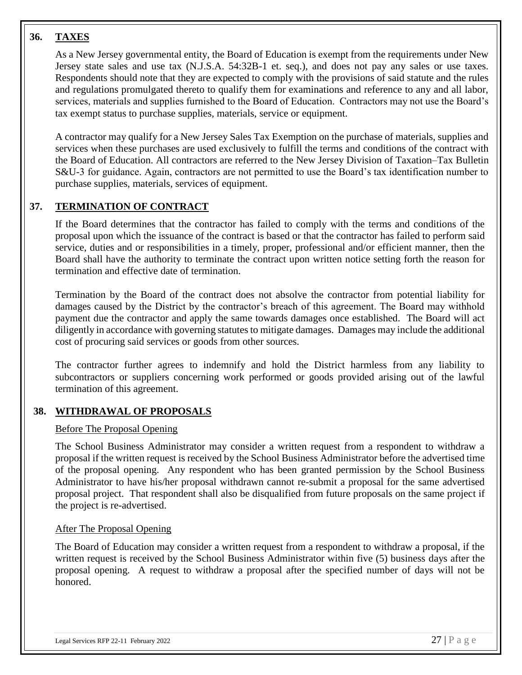#### **36. TAXES**

As a New Jersey governmental entity, the Board of Education is exempt from the requirements under New Jersey state sales and use tax (N.J.S.A. 54:32B-1 et. seq.), and does not pay any sales or use taxes. Respondents should note that they are expected to comply with the provisions of said statute and the rules and regulations promulgated thereto to qualify them for examinations and reference to any and all labor, services, materials and supplies furnished to the Board of Education. Contractors may not use the Board's tax exempt status to purchase supplies, materials, service or equipment.

A contractor may qualify for a New Jersey Sales Tax Exemption on the purchase of materials, supplies and services when these purchases are used exclusively to fulfill the terms and conditions of the contract with the Board of Education. All contractors are referred to the New Jersey Division of Taxation–Tax Bulletin S&U-3 for guidance. Again, contractors are not permitted to use the Board's tax identification number to purchase supplies, materials, services of equipment.

#### **37. TERMINATION OF CONTRACT**

If the Board determines that the contractor has failed to comply with the terms and conditions of the proposal upon which the issuance of the contract is based or that the contractor has failed to perform said service, duties and or responsibilities in a timely, proper, professional and/or efficient manner, then the Board shall have the authority to terminate the contract upon written notice setting forth the reason for termination and effective date of termination.

Termination by the Board of the contract does not absolve the contractor from potential liability for damages caused by the District by the contractor's breach of this agreement. The Board may withhold payment due the contractor and apply the same towards damages once established. The Board will act diligently in accordance with governing statutes to mitigate damages. Damages may include the additional cost of procuring said services or goods from other sources.

The contractor further agrees to indemnify and hold the District harmless from any liability to subcontractors or suppliers concerning work performed or goods provided arising out of the lawful termination of this agreement.

#### **38. WITHDRAWAL OF PROPOSALS**

#### Before The Proposal Opening

The School Business Administrator may consider a written request from a respondent to withdraw a proposal if the written request is received by the School Business Administrator before the advertised time of the proposal opening. Any respondent who has been granted permission by the School Business Administrator to have his/her proposal withdrawn cannot re-submit a proposal for the same advertised proposal project. That respondent shall also be disqualified from future proposals on the same project if the project is re-advertised.

#### After The Proposal Opening

The Board of Education may consider a written request from a respondent to withdraw a proposal, if the written request is received by the School Business Administrator within five (5) business days after the proposal opening. A request to withdraw a proposal after the specified number of days will not be honored.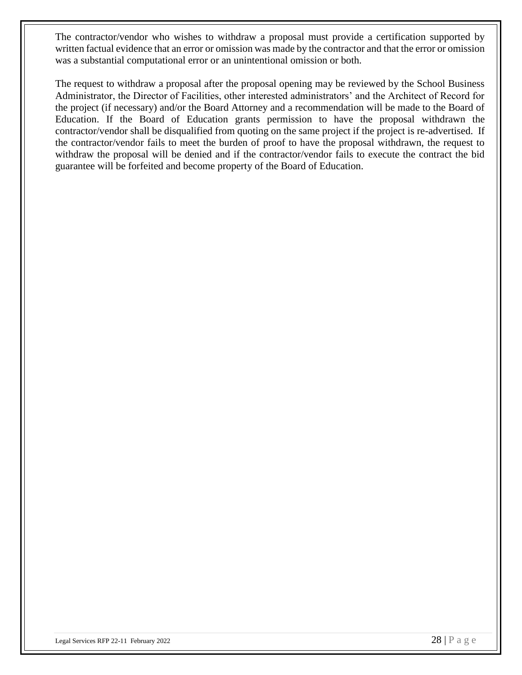The contractor/vendor who wishes to withdraw a proposal must provide a certification supported by written factual evidence that an error or omission was made by the contractor and that the error or omission was a substantial computational error or an unintentional omission or both.

The request to withdraw a proposal after the proposal opening may be reviewed by the School Business Administrator, the Director of Facilities, other interested administrators' and the Architect of Record for the project (if necessary) and/or the Board Attorney and a recommendation will be made to the Board of Education. If the Board of Education grants permission to have the proposal withdrawn the contractor/vendor shall be disqualified from quoting on the same project if the project is re-advertised. If the contractor/vendor fails to meet the burden of proof to have the proposal withdrawn, the request to withdraw the proposal will be denied and if the contractor/vendor fails to execute the contract the bid guarantee will be forfeited and become property of the Board of Education.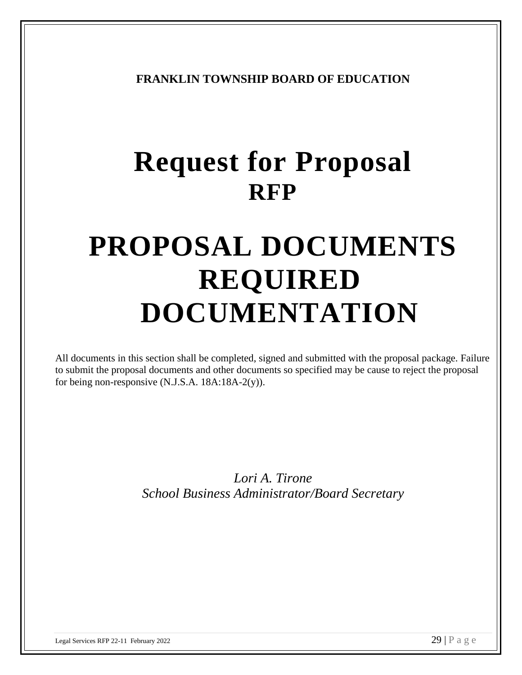**FRANKLIN TOWNSHIP BOARD OF EDUCATION**

# **Request for Proposal RFP**

# **PROPOSAL DOCUMENTS REQUIRED DOCUMENTATION**

All documents in this section shall be completed, signed and submitted with the proposal package. Failure to submit the proposal documents and other documents so specified may be cause to reject the proposal for being non-responsive (N.J.S.A. 18A:18A-2(y)).

> *Lori A. Tirone School Business Administrator/Board Secretary*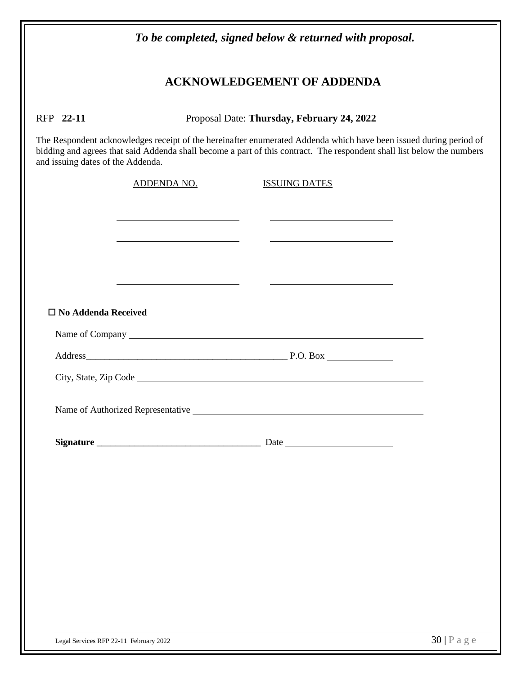|                                   |                                                                                                                                                                                                                                             | To be completed, signed below & returned with proposal. |                |
|-----------------------------------|---------------------------------------------------------------------------------------------------------------------------------------------------------------------------------------------------------------------------------------------|---------------------------------------------------------|----------------|
|                                   |                                                                                                                                                                                                                                             | <b>ACKNOWLEDGEMENT OF ADDENDA</b>                       |                |
| RFP 22-11                         |                                                                                                                                                                                                                                             | Proposal Date: Thursday, February 24, 2022              |                |
| and issuing dates of the Addenda. | The Respondent acknowledges receipt of the hereinafter enumerated Addenda which have been issued during period of<br>bidding and agrees that said Addenda shall become a part of this contract. The respondent shall list below the numbers |                                                         |                |
|                                   | <b>ADDENDA NO.</b>                                                                                                                                                                                                                          | <b>ISSUING DATES</b>                                    |                |
|                                   | the contract of the contract of the contract of the contract of the contract of                                                                                                                                                             |                                                         |                |
|                                   | <u> 1989 - Andrea Andrew Maria (b. 1989)</u><br><u> 1980 - Jan Stein Stein, fransk politik (f. 1918)</u>                                                                                                                                    | <u> 1989 - Johann Stoff, Amerikaansk politiker (</u>    |                |
|                                   |                                                                                                                                                                                                                                             |                                                         |                |
| $\square$ No Addenda Received     |                                                                                                                                                                                                                                             |                                                         |                |
|                                   |                                                                                                                                                                                                                                             |                                                         |                |
|                                   |                                                                                                                                                                                                                                             |                                                         |                |
|                                   |                                                                                                                                                                                                                                             |                                                         |                |
|                                   |                                                                                                                                                                                                                                             |                                                         |                |
|                                   |                                                                                                                                                                                                                                             |                                                         |                |
|                                   |                                                                                                                                                                                                                                             |                                                         |                |
|                                   |                                                                                                                                                                                                                                             |                                                         |                |
|                                   |                                                                                                                                                                                                                                             |                                                         |                |
|                                   |                                                                                                                                                                                                                                             |                                                         |                |
|                                   |                                                                                                                                                                                                                                             |                                                         |                |
|                                   |                                                                                                                                                                                                                                             |                                                         |                |
|                                   |                                                                                                                                                                                                                                             |                                                         |                |
|                                   | Legal Services RFP 22-11 February 2022                                                                                                                                                                                                      |                                                         | $30$   P a g e |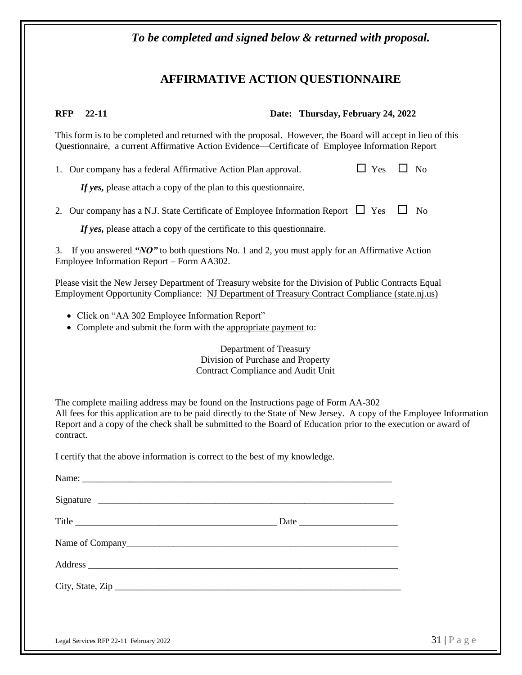#### **AFFIRMATIVE ACTION QUESTIONNAIRE**

**RFP 22-11 Date: Thursday, February 24, 2022**

This form is to be completed and returned with the proposal. However, the Board will accept in lieu of this Questionnaire, a current Affirmative Action Evidence—Certificate of Employee Information Report

1. Our company has a federal Affirmative Action Plan approval.  $\Box$  Yes  $\Box$  No

If yes, please attach a copy of the plan to this questionnaire.

2. Our company has a N.J. State Certificate of Employee Information Report  $\Box$  Yes  $\Box$  No

*If yes*, please attach a copy of the certificate to this questionnaire.

3. If you answered *"NO"* to both questions No. 1 and 2, you must apply for an Affirmative Action Employee Information Report – Form AA302.

Please visit the New Jersey Department of Treasury website for the Division of Public Contracts Equal Employment Opportunity Compliance: [NJ](http://www.state.nj.us/treasury/contract%20compliance/) Department of Treasury Contract Compliance (state.nj.us)

- Click on "AA 302 Employee Information Report"
- Complete and submit the form with the appropriate payment to:

Department of Treasury Division of Purchase and Property Contract Compliance and Audit Unit

The complete mailing address may be found on the Instructions page of Form AA-302 All fees for this application are to be paid directly to the State of New Jersey. A copy of the Employee Information Report and a copy of the check shall be submitted to the Board of Education prior to the execution or award of contract.

I certify that the above information is correct to the best of my knowledge.

| Signature                                                                                                                                                                                                                     |                      |
|-------------------------------------------------------------------------------------------------------------------------------------------------------------------------------------------------------------------------------|----------------------|
|                                                                                                                                                                                                                               |                      |
|                                                                                                                                                                                                                               |                      |
| Address experiences and the set of the set of the set of the set of the set of the set of the set of the set of the set of the set of the set of the set of the set of the set of the set of the set of the set of the set of |                      |
| City, State, Zip                                                                                                                                                                                                              |                      |
|                                                                                                                                                                                                                               |                      |
|                                                                                                                                                                                                                               | $\sim$ $\sim$ $\sim$ |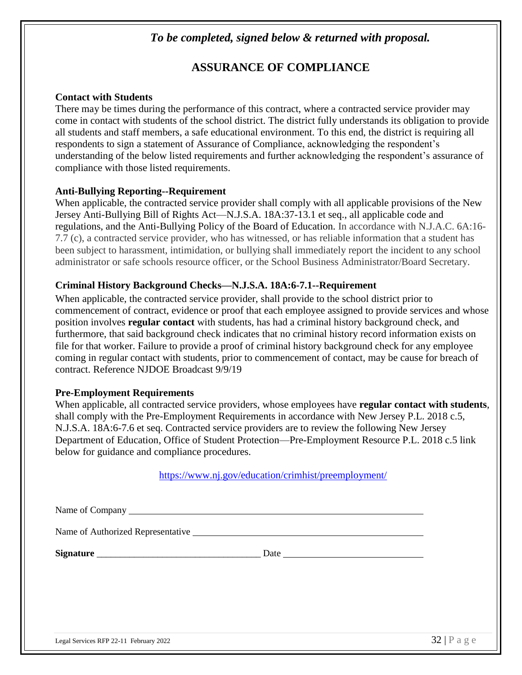#### *To be completed, signed below & returned with proposal.*

### **ASSURANCE OF COMPLIANCE**

#### **Contact with Students**

There may be times during the performance of this contract, where a contracted service provider may come in contact with students of the school district. The district fully understands its obligation to provide all students and staff members, a safe educational environment. To this end, the district is requiring all respondents to sign a statement of Assurance of Compliance, acknowledging the respondent's understanding of the below listed requirements and further acknowledging the respondent's assurance of compliance with those listed requirements.

#### **Anti-Bullying Reporting--Requirement**

When applicable, the contracted service provider shall comply with all applicable provisions of the New Jersey Anti-Bullying Bill of Rights Act—N.J.S.A. 18A:37-13.1 et seq., all applicable code and regulations, and the Anti-Bullying Policy of the Board of Education. In accordance with N.J.A.C. 6A:16- 7.7 (c), a contracted service provider, who has witnessed, or has reliable information that a student has been subject to harassment, intimidation, or bullying shall immediately report the incident to any school administrator or safe schools resource officer, or the School Business Administrator/Board Secretary.

#### **Criminal History Background Checks—N.J.S.A. 18A:6-7.1--Requirement**

When applicable, the contracted service provider, shall provide to the school district prior to commencement of contract, evidence or proof that each employee assigned to provide services and whose position involves **regular contact** with students, has had a criminal history background check, and furthermore, that said background check indicates that no criminal history record information exists on file for that worker. Failure to provide a proof of criminal history background check for any employee coming in regular contact with students, prior to commencement of contact, may be cause for breach of contract. Reference NJDOE Broadcast 9/9/19

#### **Pre-Employment Requirements**

When applicable, all contracted service providers, whose employees have **regular contact with students**, shall comply with the Pre-Employment Requirements in accordance with New Jersey P.L. 2018 c.5, N.J.S.A. 18A:6-7.6 et seq. Contracted service providers are to review the following New Jersey Department of Education, Office of Student Protection—Pre-Employment Resource P.L. 2018 c.5 link below for guidance and compliance procedures.

#### <https://www.nj.gov/education/crimhist/preemployment/>

| Name of Authorized Representative Learning and Security and Security and Security and Security and Security and Security and Security and Security and Security and Security and Security and Security and Security and Securi |                                 |
|--------------------------------------------------------------------------------------------------------------------------------------------------------------------------------------------------------------------------------|---------------------------------|
|                                                                                                                                                                                                                                |                                 |
|                                                                                                                                                                                                                                |                                 |
|                                                                                                                                                                                                                                |                                 |
|                                                                                                                                                                                                                                |                                 |
| Legal Services RFP 22-11 February 2022                                                                                                                                                                                         | $32   P \text{ a } g \text{ e}$ |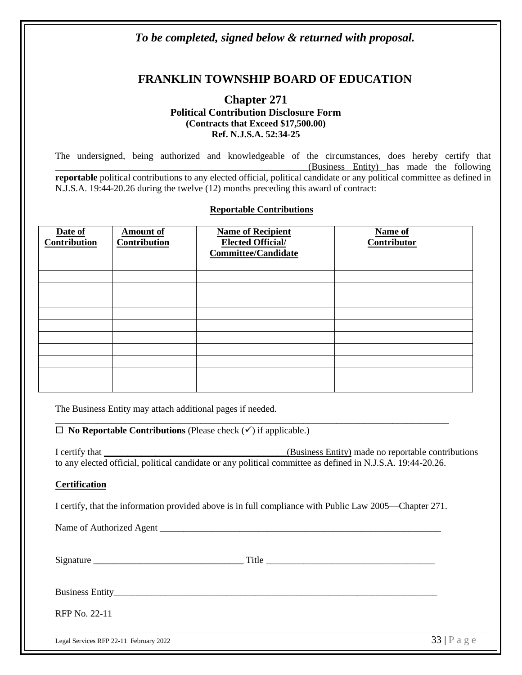#### *To be completed, signed below & returned with proposal.*

#### **FRANKLIN TOWNSHIP BOARD OF EDUCATION**

#### **Chapter 271 Political Contribution Disclosure Form (Contracts that Exceed \$17,500.00) Ref. N.J.S.A. 52:34-25**

The undersigned, being authorized and knowledgeable of the circumstances, does hereby certify that \_\_\_\_\_\_\_\_\_\_\_\_\_\_\_\_\_\_\_\_\_\_\_\_\_\_\_\_\_\_\_\_\_\_\_\_\_\_\_\_\_\_\_\_\_\_\_\_\_\_\_\_\_\_(Business Entity) has made the following **reportable** political contributions to any elected official, political candidate or any political committee as defined in N.J.S.A. 19:44-20.26 during the twelve (12) months preceding this award of contract:

#### **Reportable Contributions**

| Date of<br><b>Contribution</b> | <b>Amount of</b><br>Contribution | <b>Name of Recipient</b><br><b>Elected Official/</b><br><b>Committee/Candidate</b> | Name of<br>Contributor |
|--------------------------------|----------------------------------|------------------------------------------------------------------------------------|------------------------|
|                                |                                  |                                                                                    |                        |
|                                |                                  |                                                                                    |                        |
|                                |                                  |                                                                                    |                        |
|                                |                                  |                                                                                    |                        |
|                                |                                  |                                                                                    |                        |
|                                |                                  |                                                                                    |                        |
|                                |                                  |                                                                                    |                        |
|                                |                                  |                                                                                    |                        |
|                                |                                  |                                                                                    |                        |
|                                |                                  |                                                                                    |                        |

The Business Entity may attach additional pages if needed.

**No Reportable Contributions** (Please check (✓) if applicable.)

I certify that **I** certify that **I** certify that **I** certify made no reportable contributions to any elected official, political candidate or any political committee as defined in N.J.S.A. 19:44-20.26.

#### **Certification**

I certify, that the information provided above is in full compliance with Public Law 2005—Chapter 271.

\_\_\_\_\_\_\_\_\_\_\_\_\_\_\_\_\_\_\_\_\_\_\_\_\_\_\_\_\_\_\_\_\_\_\_\_\_\_\_\_\_\_\_\_\_\_\_\_\_\_\_\_\_\_\_\_\_\_\_\_\_\_\_\_\_\_\_\_\_\_\_\_\_\_\_\_\_\_\_\_\_\_\_\_

Name of Authorized Agent \_\_\_\_\_\_\_\_\_\_\_\_\_\_\_\_\_\_\_\_\_\_\_\_\_\_\_\_\_\_\_\_\_\_\_\_\_\_\_\_\_\_\_\_\_\_\_\_\_\_\_\_\_\_\_\_\_\_\_\_

Legal Services RFP 22-11 February 2022  $\overline{33} \mid \text{Pa g e}$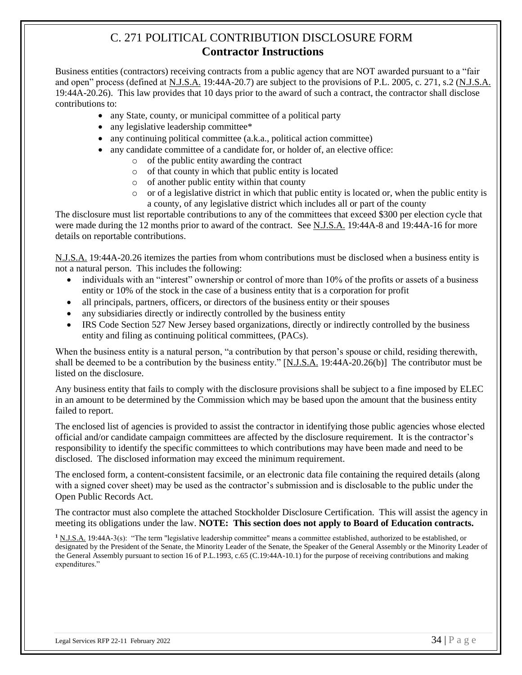#### C. 271 POLITICAL CONTRIBUTION DISCLOSURE FORM **Contractor Instructions**

Business entities (contractors) receiving contracts from a public agency that are NOT awarded pursuant to a "fair and open" process (defined at N.J.S.A. 19:44A-20.7) are subject to the provisions of P.L. 2005, c. 271, s.2 (N.J.S.A. 19:44A-20.26). This law provides that 10 days prior to the award of such a contract, the contractor shall disclose contributions to:

- any State, county, or municipal committee of a political party
- any legislative leadership committee\*
- any continuing political committee (a.k.a., political action committee)
- any candidate committee of a candidate for, or holder of, an elective office:
	- o of the public entity awarding the contract
	- o of that county in which that public entity is located
	- o of another public entity within that county
	- o or of a legislative district in which that public entity is located or, when the public entity is a county, of any legislative district which includes all or part of the county

The disclosure must list reportable contributions to any of the committees that exceed \$300 per election cycle that were made during the 12 months prior to award of the contract. See N.J.S.A. 19:44A-8 and 19:44A-16 for more details on reportable contributions.

N.J.S.A. 19:44A-20.26 itemizes the parties from whom contributions must be disclosed when a business entity is not a natural person. This includes the following:

- individuals with an "interest" ownership or control of more than 10% of the profits or assets of a business entity or 10% of the stock in the case of a business entity that is a corporation for profit
- all principals, partners, officers, or directors of the business entity or their spouses
- any subsidiaries directly or indirectly controlled by the business entity
- IRS Code Section 527 New Jersey based organizations, directly or indirectly controlled by the business entity and filing as continuing political committees, (PACs).

When the business entity is a natural person, "a contribution by that person's spouse or child, residing therewith, shall be deemed to be a contribution by the business entity." [N.J.S.A. 19:44A-20.26(b)] The contributor must be listed on the disclosure.

Any business entity that fails to comply with the disclosure provisions shall be subject to a fine imposed by ELEC in an amount to be determined by the Commission which may be based upon the amount that the business entity failed to report.

The enclosed list of agencies is provided to assist the contractor in identifying those public agencies whose elected official and/or candidate campaign committees are affected by the disclosure requirement. It is the contractor's responsibility to identify the specific committees to which contributions may have been made and need to be disclosed. The disclosed information may exceed the minimum requirement.

The enclosed form, a content-consistent facsimile, or an electronic data file containing the required details (along with a signed cover sheet) may be used as the contractor's submission and is disclosable to the public under the Open Public Records Act.

The contractor must also complete the attached Stockholder Disclosure Certification. This will assist the agency in meeting its obligations under the law. **NOTE: This section does not apply to Board of Education contracts.**

**<sup>1</sup>** N.J.S.A. 19:44A-3(s): "The term "legislative leadership committee" means a committee established, authorized to be established, or designated by the President of the Senate, the Minority Leader of the Senate, the Speaker of the General Assembly or the Minority Leader of the General Assembly pursuant to section 16 of P.L.1993, c.65 (C.19:44A-10.1) for the purpose of receiving contributions and making expenditures."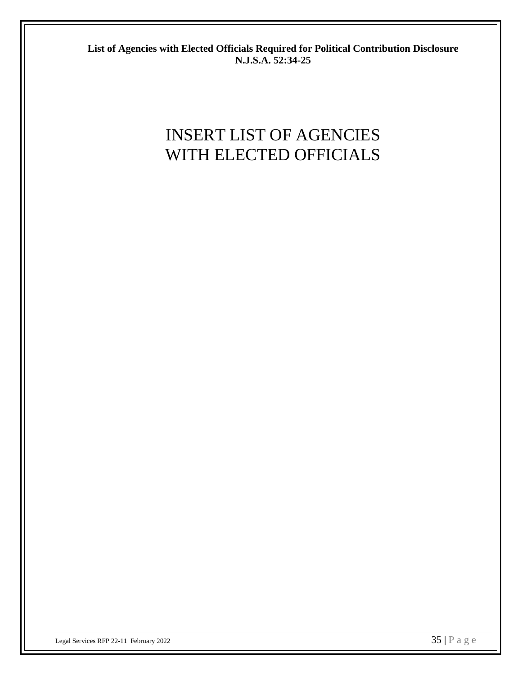**List of Agencies with Elected Officials Required for Political Contribution Disclosure N.J.S.A. 52:34-25**

## INSERT LIST OF AGENCIES WITH ELECTED OFFICIALS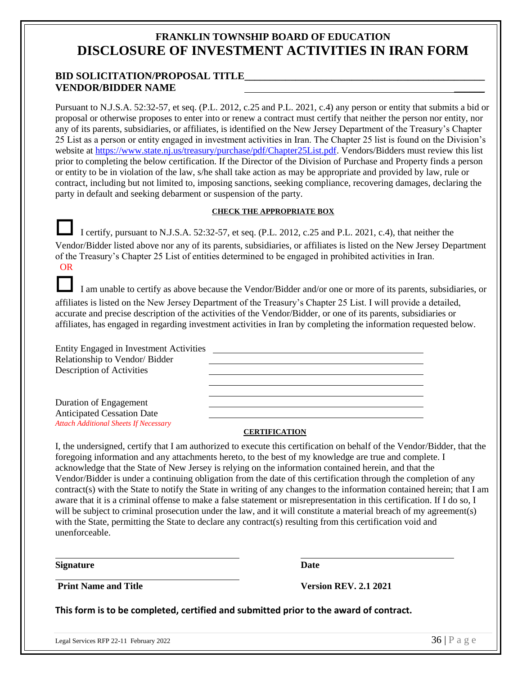#### **FRANKLIN TOWNSHIP BOARD OF EDUCATION DISCLOSURE OF INVESTMENT ACTIVITIES IN IRAN FORM**

#### **BID SOLICITATION/PROPOSAL TITLE\_\_\_\_\_\_\_\_\_\_\_\_\_\_\_\_\_\_\_\_\_\_\_\_\_\_\_\_\_\_\_\_\_\_\_\_\_\_\_\_\_\_\_\_\_\_\_ VENDOR/BIDDER NAME** \_\_\_\_\_\_

Pursuant to N.J.S.A. 52:32-57, et seq. (P.L. 2012, c.25 and P.L. 2021, c.4) any person or entity that submits a bid or proposal or otherwise proposes to enter into or renew a contract must certify that neither the person nor entity, nor any of its parents, subsidiaries, or affiliates, is identified on the New Jersey Department of the Treasury's Chapter 25 List as a person or entity engaged in investment activities in Iran. The Chapter 25 list is found on the Division's website at [https://www.state.nj.us/treasury/purchase/pdf/Chapter25List.pdf.](https://www.state.nj.us/treasury/purchase/pdf/Chapter25List.pdf) Vendors/Bidders must review this list prior to completing the below certification. If the Director of the Division of Purchase and Property finds a person or entity to be in violation of the law, s/he shall take action as may be appropriate and provided by law, rule or contract, including but not limited to, imposing sanctions, seeking compliance, recovering damages, declaring the party in default and seeking debarment or suspension of the party.

#### **CHECK THE APPROPRIATE BOX**

 I certify, pursuant to N.J.S.A. 52:32-57, et seq. (P.L. 2012, c.25 and P.L. 2021, c.4), that neither the Vendor/Bidder listed above nor any of its parents, subsidiaries, or affiliates is listed on the New Jersey Department of the Treasury's Chapter 25 List of entities determined to be engaged in prohibited activities in Iran. OR

 I am unable to certify as above because the Vendor/Bidder and/or one or more of its parents, subsidiaries, or affiliates is listed on the New Jersey Department of the Treasury's Chapter 25 List. I will provide a detailed, accurate and precise description of the activities of the Vendor/Bidder, or one of its parents, subsidiaries or affiliates, has engaged in regarding investment activities in Iran by completing the information requested below.

| Entity Engaged in Investment Activities      |  |
|----------------------------------------------|--|
| Relationship to Vendor/Bidder                |  |
| Description of Activities                    |  |
|                                              |  |
|                                              |  |
| Duration of Engagement                       |  |
| <b>Anticipated Cessation Date</b>            |  |
| <b>Attach Additional Sheets If Necessary</b> |  |

#### **CERTIFICATION**

I, the undersigned, certify that I am authorized to execute this certification on behalf of the Vendor/Bidder, that the foregoing information and any attachments hereto, to the best of my knowledge are true and complete. I acknowledge that the State of New Jersey is relying on the information contained herein, and that the Vendor/Bidder is under a continuing obligation from the date of this certification through the completion of any contract(s) with the State to notify the State in writing of any changes to the information contained herein; that I am aware that it is a criminal offense to make a false statement or misrepresentation in this certification. If I do so, I will be subject to criminal prosecution under the law, and it will constitute a material breach of my agreement(s) with the State, permitting the State to declare any contract(s) resulting from this certification void and unenforceable.

**Signature Date**

**Print Name and Title Version REV. 2.1 2021**

**This form is to be completed, certified and submitted prior to the award of contract.**

 $\overline{a}$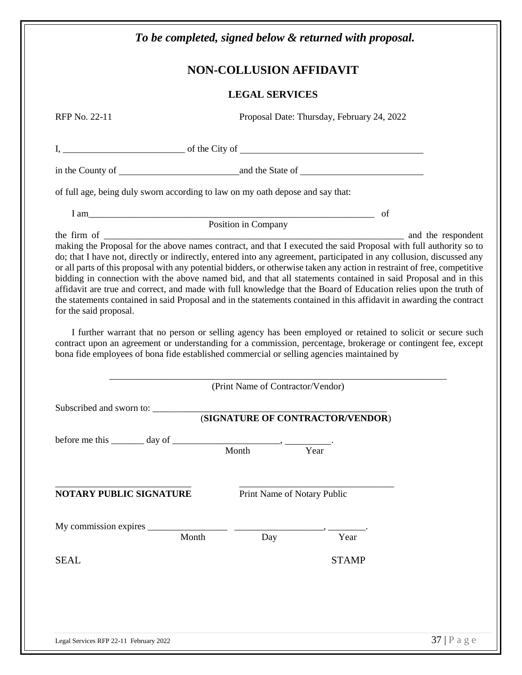|                                                                                                                     |       | <b>NON-COLLUSION AFFIDAVIT</b>    |                                                                                                                                                                                                                             |
|---------------------------------------------------------------------------------------------------------------------|-------|-----------------------------------|-----------------------------------------------------------------------------------------------------------------------------------------------------------------------------------------------------------------------------|
|                                                                                                                     |       | <b>LEGAL SERVICES</b>             |                                                                                                                                                                                                                             |
| RFP No. 22-11                                                                                                       |       |                                   | Proposal Date: Thursday, February 24, 2022                                                                                                                                                                                  |
|                                                                                                                     |       |                                   | $I, \underline{\hspace{2cm}}$ of the City of $\underline{\hspace{2cm}}$                                                                                                                                                     |
|                                                                                                                     |       |                                   |                                                                                                                                                                                                                             |
| of full age, being duly sworn according to law on my oath depose and say that:                                      |       |                                   |                                                                                                                                                                                                                             |
|                                                                                                                     |       |                                   |                                                                                                                                                                                                                             |
| I am Position in Company of                                                                                         |       |                                   |                                                                                                                                                                                                                             |
| for the said proposal.<br>bona fide employees of bona fide established commercial or selling agencies maintained by |       |                                   | I further warrant that no person or selling agency has been employed or retained to solicit or secure such<br>contract upon an agreement or understanding for a commission, percentage, brokerage or contingent fee, except |
|                                                                                                                     |       | (Print Name of Contractor/Vendor) |                                                                                                                                                                                                                             |
| Subscribed and sworn to:                                                                                            |       |                                   |                                                                                                                                                                                                                             |
|                                                                                                                     |       |                                   | (SIGNATURE OF CONTRACTOR/VENDOR)                                                                                                                                                                                            |
| before me this $\_\_\_\_$ day of $\_\_\_\_\_$ Month $\_\_\_\_\_\_\$ .                                               |       |                                   |                                                                                                                                                                                                                             |
|                                                                                                                     |       |                                   |                                                                                                                                                                                                                             |
|                                                                                                                     |       | Print Name of Notary Public       |                                                                                                                                                                                                                             |
|                                                                                                                     |       |                                   |                                                                                                                                                                                                                             |
|                                                                                                                     | Month | Day                               | Year                                                                                                                                                                                                                        |
|                                                                                                                     |       |                                   | <b>STAMP</b>                                                                                                                                                                                                                |
| NOTARY PUBLIC SIGNATURE<br><b>SEAL</b>                                                                              |       |                                   |                                                                                                                                                                                                                             |
|                                                                                                                     |       |                                   |                                                                                                                                                                                                                             |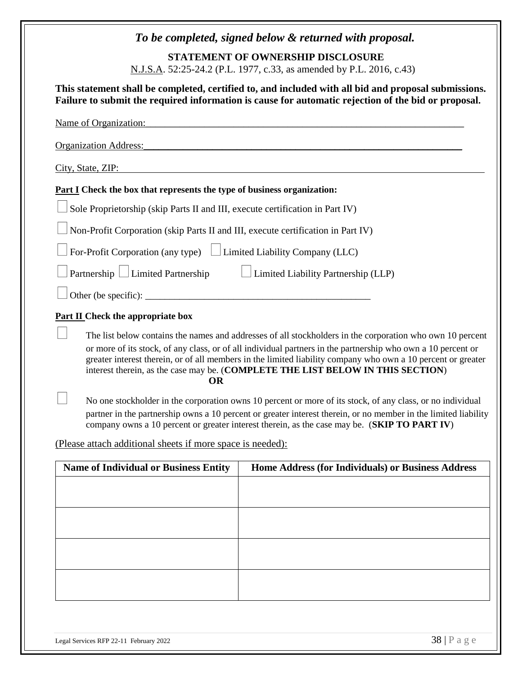| To be completed, signed below & returned with proposal.                                                                                                                                                                                                                                                                                                                                                                                   |  |  |  |
|-------------------------------------------------------------------------------------------------------------------------------------------------------------------------------------------------------------------------------------------------------------------------------------------------------------------------------------------------------------------------------------------------------------------------------------------|--|--|--|
| <b>STATEMENT OF OWNERSHIP DISCLOSURE</b>                                                                                                                                                                                                                                                                                                                                                                                                  |  |  |  |
| N.J.S.A. 52:25-24.2 (P.L. 1977, c.33, as amended by P.L. 2016, c.43)                                                                                                                                                                                                                                                                                                                                                                      |  |  |  |
| This statement shall be completed, certified to, and included with all bid and proposal submissions.<br>Failure to submit the required information is cause for automatic rejection of the bid or proposal.                                                                                                                                                                                                                               |  |  |  |
| Name of Organization:                                                                                                                                                                                                                                                                                                                                                                                                                     |  |  |  |
| Organization Address:<br><u> 1989 - Johann Stoff, deutscher Stoff, der Stoff, der Stoff, der Stoff, der Stoff, der Stoff, der Stoff, der S</u>                                                                                                                                                                                                                                                                                            |  |  |  |
| City, State, ZIP:                                                                                                                                                                                                                                                                                                                                                                                                                         |  |  |  |
| <b>Part I</b> Check the box that represents the type of business organization:                                                                                                                                                                                                                                                                                                                                                            |  |  |  |
| Sole Proprietorship (skip Parts II and III, execute certification in Part IV)                                                                                                                                                                                                                                                                                                                                                             |  |  |  |
| Non-Profit Corporation (skip Parts II and III, execute certification in Part IV)                                                                                                                                                                                                                                                                                                                                                          |  |  |  |
| For-Profit Corporation (any type) $\Box$ Limited Liability Company (LLC)                                                                                                                                                                                                                                                                                                                                                                  |  |  |  |
| Partnership $\Box$ Limited Partnership<br>$\Box$ Limited Liability Partnership (LLP)                                                                                                                                                                                                                                                                                                                                                      |  |  |  |
|                                                                                                                                                                                                                                                                                                                                                                                                                                           |  |  |  |
| <b>Part II</b> Check the appropriate box                                                                                                                                                                                                                                                                                                                                                                                                  |  |  |  |
| The list below contains the names and addresses of all stockholders in the corporation who own 10 percent<br>or more of its stock, of any class, or of all individual partners in the partnership who own a 10 percent or<br>greater interest therein, or of all members in the limited liability company who own a 10 percent or greater<br>interest therein, as the case may be. (COMPLETE THE LIST BELOW IN THIS SECTION)<br><b>OR</b> |  |  |  |
| No one stockholder in the corporation owns 10 percent or more of its stock, of any class, or no individual<br>partner in the partnership owns a 10 percent or greater interest therein, or no member in the limited liability<br>company owns a 10 percent or greater interest therein, as the case may be. (SKIP TO PART IV)                                                                                                             |  |  |  |
| (Please attach additional sheets if more space is needed):                                                                                                                                                                                                                                                                                                                                                                                |  |  |  |
| <b>Name of Individual or Business Entity</b><br>Home Address (for Individuals) or Business Address                                                                                                                                                                                                                                                                                                                                        |  |  |  |
|                                                                                                                                                                                                                                                                                                                                                                                                                                           |  |  |  |
|                                                                                                                                                                                                                                                                                                                                                                                                                                           |  |  |  |
|                                                                                                                                                                                                                                                                                                                                                                                                                                           |  |  |  |
|                                                                                                                                                                                                                                                                                                                                                                                                                                           |  |  |  |
|                                                                                                                                                                                                                                                                                                                                                                                                                                           |  |  |  |
|                                                                                                                                                                                                                                                                                                                                                                                                                                           |  |  |  |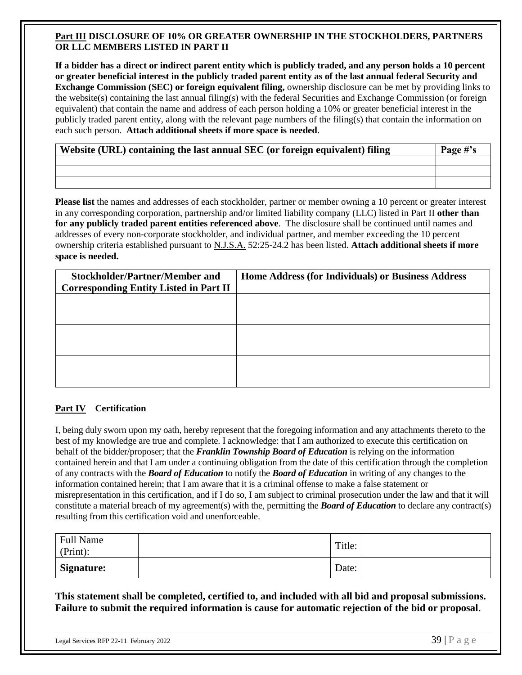#### **Part III DISCLOSURE OF 10% OR GREATER OWNERSHIP IN THE STOCKHOLDERS, PARTNERS OR LLC MEMBERS LISTED IN PART II**

**If a bidder has a direct or indirect parent entity which is publicly traded, and any person holds a 10 percent or greater beneficial interest in the publicly traded parent entity as of the last annual federal Security and Exchange Commission (SEC) or foreign equivalent filing,** ownership disclosure can be met by providing links to the website(s) containing the last annual filing(s) with the federal Securities and Exchange Commission (or foreign equivalent) that contain the name and address of each person holding a 10% or greater beneficial interest in the publicly traded parent entity, along with the relevant page numbers of the filing(s) that contain the information on each such person. **Attach additional sheets if more space is needed**.

| Website (URL) containing the last annual SEC (or foreign equivalent) filing | Page #'s |
|-----------------------------------------------------------------------------|----------|
|                                                                             |          |
|                                                                             |          |
|                                                                             |          |

**Please list** the names and addresses of each stockholder, partner or member owning a 10 percent or greater interest in any corresponding corporation, partnership and/or limited liability company (LLC) listed in Part II **other than for any publicly traded parent entities referenced above**. The disclosure shall be continued until names and addresses of every non-corporate stockholder, and individual partner, and member exceeding the 10 percent ownership criteria established pursuant to N.J.S.A. 52:25-24.2 has been listed. **Attach additional sheets if more space is needed.**

| <b>Stockholder/Partner/Member and</b>         | Home Address (for Individuals) or Business Address |
|-----------------------------------------------|----------------------------------------------------|
| <b>Corresponding Entity Listed in Part II</b> |                                                    |
|                                               |                                                    |
|                                               |                                                    |
|                                               |                                                    |
|                                               |                                                    |
|                                               |                                                    |
|                                               |                                                    |
|                                               |                                                    |
|                                               |                                                    |
|                                               |                                                    |

#### **Part IV Certification**

I, being duly sworn upon my oath, hereby represent that the foregoing information and any attachments thereto to the best of my knowledge are true and complete. I acknowledge: that I am authorized to execute this certification on behalf of the bidder/proposer; that the *Franklin Township Board of Education* is relying on the information contained herein and that I am under a continuing obligation from the date of this certification through the completion of any contracts with the *Board of Education* to notify the *Board of Education* in writing of any changes to the information contained herein; that I am aware that it is a criminal offense to make a false statement or misrepresentation in this certification, and if I do so, I am subject to criminal prosecution under the law and that it will constitute a material breach of my agreement(s) with the, permitting the *Board of Education* to declare any contract(s) resulting from this certification void and unenforceable.

| <b>Full Name</b><br>$(Print)$ : | Title: |  |
|---------------------------------|--------|--|
| <b>Signature:</b>               | Date:  |  |

**This statement shall be completed, certified to, and included with all bid and proposal submissions. Failure to submit the required information is cause for automatic rejection of the bid or proposal.**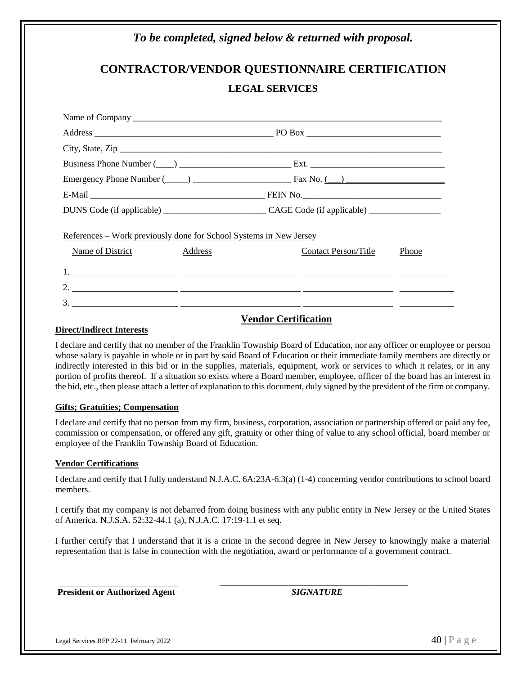## *To be completed, signed below & returned with proposal.* **CONTRACTOR/VENDOR QUESTIONNAIRE CERTIFICATION LEGAL SERVICES** Name of Company \_\_\_\_\_\_\_\_\_\_\_\_\_\_\_\_\_\_\_\_\_\_\_\_\_\_\_\_\_\_\_\_\_\_\_\_\_\_\_\_\_\_\_\_\_\_\_\_\_\_\_\_\_\_\_\_\_\_\_\_\_\_\_\_\_\_\_\_\_ Address \_\_\_\_\_\_\_\_\_\_\_\_\_\_\_\_\_\_\_\_\_\_\_\_\_\_\_\_\_\_\_\_\_\_\_\_\_\_\_\_ PO Box \_\_\_\_\_\_\_\_\_\_\_\_\_\_\_\_\_\_\_\_\_\_\_\_\_\_\_\_\_\_ City, State, Zip \_\_\_\_\_\_\_\_\_\_\_\_\_\_\_\_\_\_\_\_\_\_\_\_\_\_\_\_\_\_\_\_\_\_\_\_\_\_\_\_\_\_\_\_\_\_\_\_\_\_\_\_\_\_\_\_\_\_\_\_\_\_\_\_\_\_\_\_\_\_\_\_ Business Phone Number (\_\_\_\_) \_\_\_\_\_\_\_\_\_\_\_\_\_\_\_\_\_\_\_\_\_\_\_\_\_ Ext. \_\_\_\_\_\_\_\_\_\_\_\_\_\_\_\_\_\_\_\_\_\_\_\_\_\_\_\_\_\_ Emergency Phone Number  $(\_\_)$   $\_\_$ E-Mail \_\_\_\_\_\_\_\_\_\_\_\_\_\_\_\_\_\_\_\_\_\_\_\_\_\_\_\_\_\_\_\_\_\_\_\_\_\_\_ FEIN No.\_\_\_\_\_\_\_\_\_\_\_\_\_\_\_\_\_\_\_\_\_\_\_\_\_\_\_\_\_\_\_ DUNS Code (if applicable) \_\_\_\_\_\_\_\_\_\_\_\_\_\_\_\_\_\_\_\_\_\_\_ CAGE Code (if applicable) \_\_\_\_\_\_\_\_\_\_\_\_\_\_\_\_ References – Work previously done for School Systems in New Jersey Name of District Address Address Contact Person/Title Phone 1. 2. 3.

#### **Vendor Certification**

#### **Direct/Indirect Interests**

I declare and certify that no member of the Franklin Township Board of Education, nor any officer or employee or person whose salary is payable in whole or in part by said Board of Education or their immediate family members are directly or indirectly interested in this bid or in the supplies, materials, equipment, work or services to which it relates, or in any portion of profits thereof. If a situation so exists where a Board member, employee, officer of the board has an interest in the bid, etc., then please attach a letter of explanation to this document, duly signed by the president of the firm or company.

#### **Gifts; Gratuities; Compensation**

I declare and certify that no person from my firm, business, corporation, association or partnership offered or paid any fee, commission or compensation, or offered any gift, gratuity or other thing of value to any school official, board member or employee of the Franklin Township Board of Education.

#### **Vendor Certifications**

I declare and certify that I fully understand N.J.A.C. 6A:23A-6.3(a) (1-4) concerning vendor contributions to school board members.

I certify that my company is not debarred from doing business with any public entity in New Jersey or the United States of America. N.J.S.A. 52:32-44.1 (a), N.J.A.C. 17:19-1.1 et seq.

I further certify that I understand that it is a crime in the second degree in New Jersey to knowingly make a material representation that is false in connection with the negotiation, award or performance of a government contract.

**President or Authorized Agent** *SIGNATURE*

 $\frac{1}{2}$  , the contribution of the contribution of  $\frac{1}{2}$  ,  $\frac{1}{2}$  ,  $\frac{1}{2}$  ,  $\frac{1}{2}$  ,  $\frac{1}{2}$  ,  $\frac{1}{2}$  ,  $\frac{1}{2}$  ,  $\frac{1}{2}$  ,  $\frac{1}{2}$  ,  $\frac{1}{2}$  ,  $\frac{1}{2}$  ,  $\frac{1}{2}$  ,  $\frac{1}{2}$  ,  $\frac{1}{2}$  ,

Legal Services RFP 22-11 February 2022  $\overline{40}$  | P a g e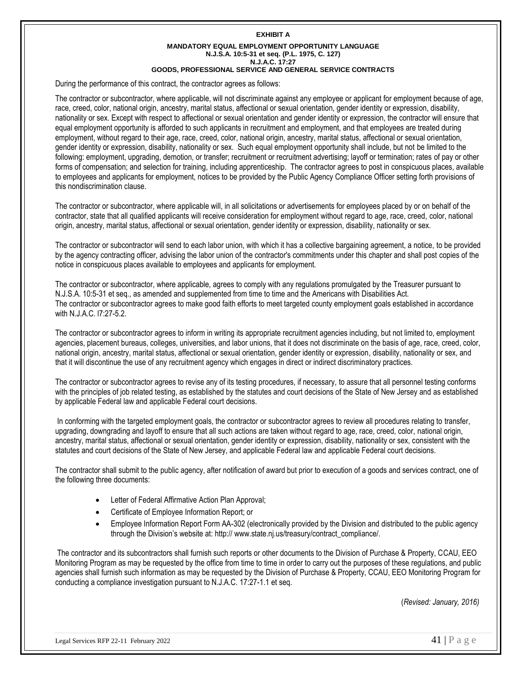#### **EXHIBIT A MANDATORY EQUAL EMPLOYMENT OPPORTUNITY LANGUAGE N.J.S.A. 10:5-31 et seq. (P.L. 1975, C. 127) N.J.A.C. 17:27 GOODS, PROFESSIONAL SERVICE AND GENERAL SERVICE CONTRACTS**

During the performance of this contract, the contractor agrees as follows:

The contractor or subcontractor, where applicable, will not discriminate against any employee or applicant for employment because of age, race, creed, color, national origin, ancestry, marital status, affectional or sexual orientation, gender identity or expression, disability, nationality or sex. Except with respect to affectional or sexual orientation and gender identity or expression, the contractor will ensure that equal employment opportunity is afforded to such applicants in recruitment and employment, and that employees are treated during employment, without regard to their age, race, creed, color, national origin, ancestry, marital status, affectional or sexual orientation, gender identity or expression, disability, nationality or sex. Such equal employment opportunity shall include, but not be limited to the following: employment, upgrading, demotion, or transfer; recruitment or recruitment advertising; layoff or termination; rates of pay or other forms of compensation; and selection for training, including apprenticeship. The contractor agrees to post in conspicuous places, available to employees and applicants for employment, notices to be provided by the Public Agency Compliance Officer setting forth provisions of this nondiscrimination clause.

The contractor or subcontractor, where applicable will, in all solicitations or advertisements for employees placed by or on behalf of the contractor, state that all qualified applicants will receive consideration for employment without regard to age, race, creed, color, national origin, ancestry, marital status, affectional or sexual orientation, gender identity or expression, disability, nationality or sex.

The contractor or subcontractor will send to each labor union, with which it has a collective bargaining agreement, a notice, to be provided by the agency contracting officer, advising the labor union of the contractor's commitments under this chapter and shall post copies of the notice in conspicuous places available to employees and applicants for employment.

The contractor or subcontractor, where applicable, agrees to comply with any regulations promulgated by the Treasurer pursuant to N.J.S.A. 10:5-31 et seq., as amended and supplemented from time to time and the Americans with Disabilities Act. The contractor or subcontractor agrees to make good faith efforts to meet targeted county employment goals established in accordance with N.J.A.C. l7:27-5.2.

The contractor or subcontractor agrees to inform in writing its appropriate recruitment agencies including, but not limited to, employment agencies, placement bureaus, colleges, universities, and labor unions, that it does not discriminate on the basis of age, race, creed, color, national origin, ancestry, marital status, affectional or sexual orientation, gender identity or expression, disability, nationality or sex, and that it will discontinue the use of any recruitment agency which engages in direct or indirect discriminatory practices.

The contractor or subcontractor agrees to revise any of its testing procedures, if necessary, to assure that all personnel testing conforms with the principles of job related testing, as established by the statutes and court decisions of the State of New Jersey and as established by applicable Federal law and applicable Federal court decisions.

In conforming with the targeted employment goals, the contractor or subcontractor agrees to review all procedures relating to transfer, upgrading, downgrading and layoff to ensure that all such actions are taken without regard to age, race, creed, color, national origin, ancestry, marital status, affectional or sexual orientation, gender identity or expression, disability, nationality or sex, consistent with the statutes and court decisions of the State of New Jersey, and applicable Federal law and applicable Federal court decisions.

The contractor shall submit to the public agency, after notification of award but prior to execution of a goods and services contract, one of the following three documents:

- Letter of Federal Affirmative Action Plan Approval;
- Certificate of Employee Information Report; or
- Employee Information Report Form AA-302 (electronically provided by the Division and distributed to the public agency through the Division's website at: http:// www.state.nj.us/treasury/contract\_compliance/.

The contractor and its subcontractors shall furnish such reports or other documents to the Division of Purchase & Property, CCAU, EEO Monitoring Program as may be requested by the office from time to time in order to carry out the purposes of these regulations, and public agencies shall furnish such information as may be requested by the Division of Purchase & Property, CCAU, EEO Monitoring Program for conducting a compliance investigation pursuant to N.J.A.C. 17:27-1.1 et seq.

(*Revised: January, 2016)*